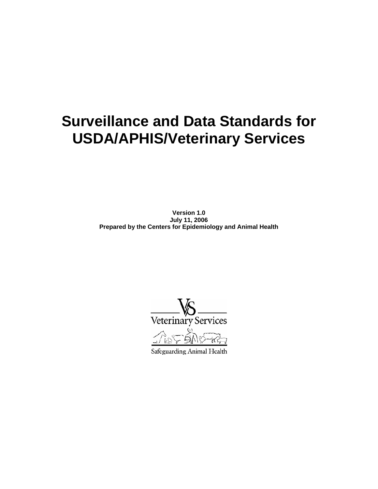# **Surveillance and Data Standards for USDA/APHIS/Veterinary Services**

**Version 1.0 July 11, 2006 Prepared by the Centers for Epidemiology and Animal Health** 

Veterinary Services

Safeguarding Animal Health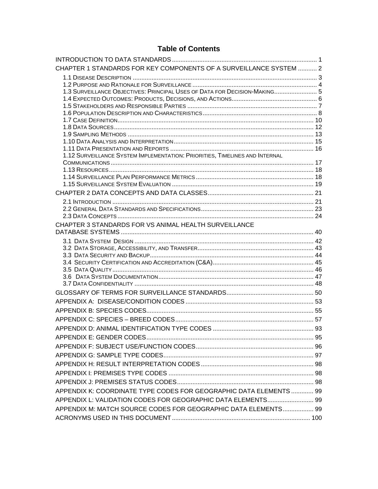## **Table of Contents**

| CHAPTER 1 STANDARDS FOR KEY COMPONENTS OF A SURVEILLANCE SYSTEM  2          |  |
|-----------------------------------------------------------------------------|--|
|                                                                             |  |
|                                                                             |  |
| 1.3 SURVEILLANCE OBJECTIVES: PRINCIPAL USES OF DATA FOR DECISION-MAKING 5   |  |
|                                                                             |  |
|                                                                             |  |
|                                                                             |  |
|                                                                             |  |
|                                                                             |  |
|                                                                             |  |
| 1.12 SURVEILLANCE SYSTEM IMPLEMENTATION: PRIORITIES, TIMELINES AND INTERNAL |  |
|                                                                             |  |
|                                                                             |  |
|                                                                             |  |
|                                                                             |  |
|                                                                             |  |
|                                                                             |  |
|                                                                             |  |
|                                                                             |  |
| CHAPTER 3 STANDARDS FOR VS ANIMAL HEALTH SURVEILLANCE                       |  |
|                                                                             |  |
|                                                                             |  |
|                                                                             |  |
|                                                                             |  |
|                                                                             |  |
|                                                                             |  |
|                                                                             |  |
|                                                                             |  |
|                                                                             |  |
|                                                                             |  |
|                                                                             |  |
|                                                                             |  |
|                                                                             |  |
|                                                                             |  |
|                                                                             |  |
|                                                                             |  |
|                                                                             |  |
|                                                                             |  |
| APPENDIX K: COORDINATE TYPE CODES FOR GEOGRAPHIC DATA ELEMENTS  99          |  |
| APPENDIX L: VALIDATION CODES FOR GEOGRAPHIC DATA ELEMENTS 99                |  |
| APPENDIX M: MATCH SOURCE CODES FOR GEOGRAPHIC DATA ELEMENTS 99              |  |
|                                                                             |  |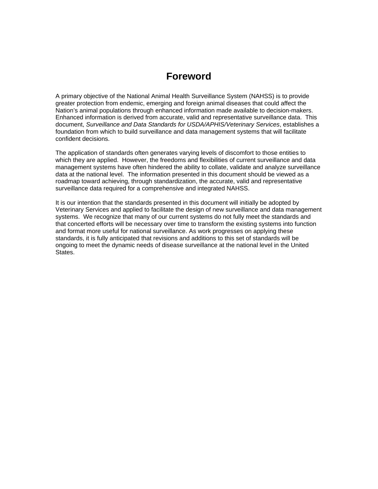## **Foreword**

A primary objective of the National Animal Health Surveillance System (NAHSS) is to provide greater protection from endemic, emerging and foreign animal diseases that could affect the Nation's animal populations through enhanced information made available to decision-makers. Enhanced information is derived from accurate, valid and representative surveillance data. This document, *Surveillance and Data Standards for USDA/APHIS/Veterinary Services*, establishes a foundation from which to build surveillance and data management systems that will facilitate confident decisions.

The application of standards often generates varying levels of discomfort to those entities to which they are applied. However, the freedoms and flexibilities of current surveillance and data management systems have often hindered the ability to collate, validate and analyze surveillance data at the national level. The information presented in this document should be viewed as a roadmap toward achieving, through standardization, the accurate, valid and representative surveillance data required for a comprehensive and integrated NAHSS.

It is our intention that the standards presented in this document will initially be adopted by Veterinary Services and applied to facilitate the design of new surveillance and data management systems. We recognize that many of our current systems do not fully meet the standards and that concerted efforts will be necessary over time to transform the existing systems into function and format more useful for national surveillance. As work progresses on applying these standards, it is fully anticipated that revisions and additions to this set of standards will be ongoing to meet the dynamic needs of disease surveillance at the national level in the United States.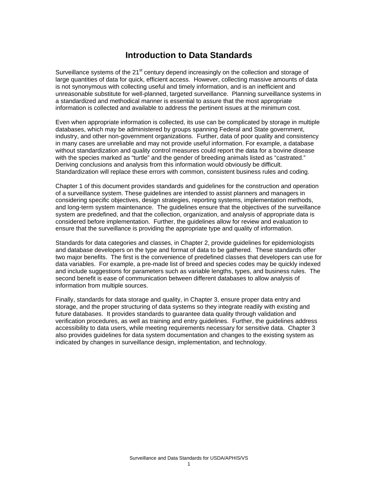## **Introduction to Data Standards**

Surveillance systems of the 21<sup>st</sup> century depend increasingly on the collection and storage of large quantities of data for quick, efficient access. However, collecting massive amounts of data is not synonymous with collecting useful and timely information, and is an inefficient and unreasonable substitute for well-planned, targeted surveillance. Planning surveillance systems in a standardized and methodical manner is essential to assure that the most appropriate information is collected and available to address the pertinent issues at the minimum cost.

Even when appropriate information is collected, its use can be complicated by storage in multiple databases, which may be administered by groups spanning Federal and State government, industry, and other non-government organizations. Further, data of poor quality and consistency in many cases are unreliable and may not provide useful information. For example, a database without standardization and quality control measures could report the data for a bovine disease with the species marked as "turtle" and the gender of breeding animals listed as "castrated." Deriving conclusions and analysis from this information would obviously be difficult. Standardization will replace these errors with common, consistent business rules and coding.

Chapter 1 of this document provides standards and guidelines for the construction and operation of a surveillance system. These guidelines are intended to assist planners and managers in considering specific objectives, design strategies, reporting systems, implementation methods, and long-term system maintenance. The guidelines ensure that the objectives of the surveillance system are predefined, and that the collection, organization, and analysis of appropriate data is considered before implementation. Further, the guidelines allow for review and evaluation to ensure that the surveillance is providing the appropriate type and quality of information.

Standards for data categories and classes, in Chapter 2, provide guidelines for epidemiologists and database developers on the type and format of data to be gathered. These standards offer two major benefits. The first is the convenience of predefined classes that developers can use for data variables. For example, a pre-made list of breed and species codes may be quickly indexed and include suggestions for parameters such as variable lengths, types, and business rules. The second benefit is ease of communication between different databases to allow analysis of information from multiple sources.

Finally, standards for data storage and quality, in Chapter 3, ensure proper data entry and storage, and the proper structuring of data systems so they integrate readily with existing and future databases. It provides standards to guarantee data quality through validation and verification procedures, as well as training and entry guidelines. Further, the guidelines address accessibility to data users, while meeting requirements necessary for sensitive data. Chapter 3 also provides guidelines for data system documentation and changes to the existing system as indicated by changes in surveillance design, implementation, and technology.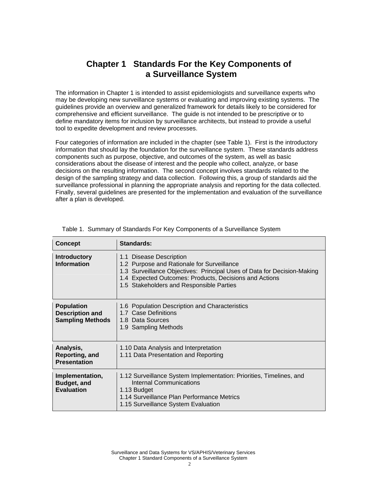## **Chapter 1 Standards For the Key Components of a Surveillance System**

The information in Chapter 1 is intended to assist epidemiologists and surveillance experts who may be developing new surveillance systems or evaluating and improving existing systems. The guidelines provide an overview and generalized framework for details likely to be considered for comprehensive and efficient surveillance. The guide is not intended to be prescriptive or to define mandatory items for inclusion by surveillance architects, but instead to provide a useful tool to expedite development and review processes.

Four categories of information are included in the chapter (see Table 1). First is the introductory information that should lay the foundation for the surveillance system. These standards address components such as purpose, objective, and outcomes of the system, as well as basic considerations about the disease of interest and the people who collect, analyze, or base decisions on the resulting information. The second concept involves standards related to the design of the sampling strategy and data collection. Following this, a group of standards aid the surveillance professional in planning the appropriate analysis and reporting for the data collected. Finally, several guidelines are presented for the implementation and evaluation of the surveillance after a plan is developed.

| <b>Concept</b>                                                         | Standards:                                                                                                                                                                                                                                             |
|------------------------------------------------------------------------|--------------------------------------------------------------------------------------------------------------------------------------------------------------------------------------------------------------------------------------------------------|
| <b>Introductory</b><br><b>Information</b>                              | 1.1 Disease Description<br>1.2 Purpose and Rationale for Surveillance<br>1.3 Surveillance Objectives: Principal Uses of Data for Decision-Making<br>1.4 Expected Outcomes: Products, Decisions and Actions<br>1.5 Stakeholders and Responsible Parties |
| <b>Population</b><br><b>Description and</b><br><b>Sampling Methods</b> | 1.6 Population Description and Characteristics<br>1.7 Case Definitions<br>1.8 Data Sources<br>1.9 Sampling Methods                                                                                                                                     |
| Analysis,<br>Reporting, and<br><b>Presentation</b>                     | 1.10 Data Analysis and Interpretation<br>1.11 Data Presentation and Reporting                                                                                                                                                                          |
| Implementation,<br>Budget, and<br><b>Evaluation</b>                    | 1.12 Surveillance System Implementation: Priorities, Timelines, and<br>Internal Communications<br>1.13 Budget<br>1.14 Surveillance Plan Performance Metrics<br>1.15 Surveillance System Evaluation                                                     |

|  |  |  | Table 1. Summary of Standards For Key Components of a Surveillance System |
|--|--|--|---------------------------------------------------------------------------|
|  |  |  |                                                                           |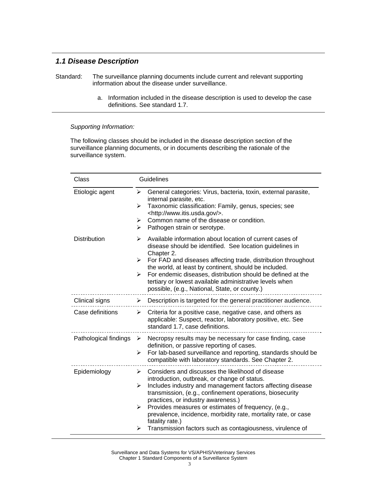## *1.1 Disease Description*

- Standard: The surveillance planning documents include current and relevant supporting information about the disease under surveillance.
	- a. Information included in the disease description is used to develop the case definitions. See standard 1.7.

#### *Supporting Information:*

The following classes should be included in the disease description section of the surveillance planning documents, or in documents describing the rationale of the surveillance system.

| Class                 | Guidelines                                                                                                                                                                                                                                                                                                                                                                                                                                                                                                         |  |
|-----------------------|--------------------------------------------------------------------------------------------------------------------------------------------------------------------------------------------------------------------------------------------------------------------------------------------------------------------------------------------------------------------------------------------------------------------------------------------------------------------------------------------------------------------|--|
| Etiologic agent       | ➤<br>General categories: Virus, bacteria, toxin, external parasite,<br>internal parasite, etc.<br>Taxonomic classification: Family, genus, species; see<br>➤<br><http: www.itis.usda.gov=""></http:> .<br>Common name of the disease or condition.<br>➤<br>Pathogen strain or serotype.<br>⋗                                                                                                                                                                                                                       |  |
| <b>Distribution</b>   | Available information about location of current cases of<br>➤<br>disease should be identified. See location guidelines in<br>Chapter 2.<br>For FAD and diseases affecting trade, distribution throughout<br>➤<br>the world, at least by continent, should be included.<br>For endemic diseases, distribution should be defined at the<br>➤<br>tertiary or lowest available administrative levels when<br>possible, (e.g., National, State, or county.)                                                             |  |
| Clinical signs        | Description is targeted for the general practitioner audience.<br>➤                                                                                                                                                                                                                                                                                                                                                                                                                                                |  |
| Case definitions      | Criteria for a positive case, negative case, and others as<br>➤<br>applicable: Suspect, reactor, laboratory positive, etc. See<br>standard 1.7, case definitions.                                                                                                                                                                                                                                                                                                                                                  |  |
| Pathological findings | Necropsy results may be necessary for case finding, case<br>➤<br>definition, or passive reporting of cases.<br>For lab-based surveillance and reporting, standards should be<br>➤<br>compatible with laboratory standards. See Chapter 2.                                                                                                                                                                                                                                                                          |  |
| Epidemiology          | Considers and discusses the likelihood of disease<br>➤<br>introduction, outbreak, or change of status.<br>Includes industry and management factors affecting disease<br>➤<br>transmission, (e.g., confinement operations, biosecurity<br>practices, or industry awareness.)<br>Provides measures or estimates of frequency, (e.g.,<br>$\blacktriangleright$<br>prevalence, incidence, morbidity rate, mortality rate, or case<br>fatality rate.)<br>Transmission factors such as contagiousness, virulence of<br>➤ |  |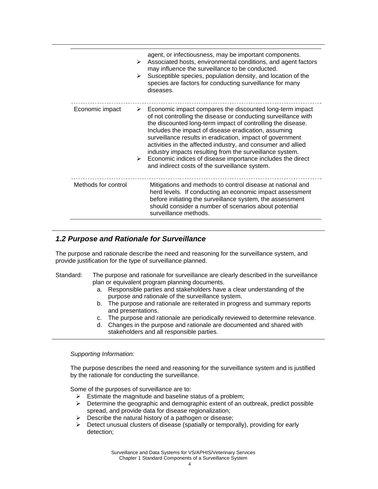|                     | ➤<br>➤ | agent, or infectiousness, may be important components.<br>Associated hosts, environmental conditions, and agent factors<br>may influence the surveillance to be conducted.<br>Susceptible species, population density, and location of the<br>species are factors for conducting surveillance for many<br>diseases.                                                                                                                                                                                                                                                         |
|---------------------|--------|-----------------------------------------------------------------------------------------------------------------------------------------------------------------------------------------------------------------------------------------------------------------------------------------------------------------------------------------------------------------------------------------------------------------------------------------------------------------------------------------------------------------------------------------------------------------------------|
| Economic impact     | ➤      | Economic impact compares the discounted long-term impact<br>of not controlling the disease or conducting surveillance with<br>the discounted long-term impact of controlling the disease.<br>Includes the impact of disease eradication, assuming<br>surveillance results in eradication, impact of government<br>activities in the affected industry, and consumer and allied<br>industry impacts resulting from the surveillance system.<br>$\triangleright$ Economic indices of disease importance includes the direct<br>and indirect costs of the surveillance system. |
| Methods for control |        | Mitigations and methods to control disease at national and<br>herd levels. If conducting an economic impact assessment<br>before initiating the surveillance system, the assessment<br>should consider a number of scenarios about potential<br>surveillance methods.                                                                                                                                                                                                                                                                                                       |

## *1.2 Purpose and Rationale for Surveillance*

The purpose and rationale describe the need and reasoning for the surveillance system, and provide justification for the type of surveillance planned.

#### Standard: The purpose and rationale for surveillance are clearly described in the surveillance plan or equivalent program planning documents.

- a. Responsible parties and stakeholders have a clear understanding of the purpose and rationale of the surveillance system.
- b. The purpose and rationale are reiterated in progress and summary reports and presentations.
- c. The purpose and rationale are periodically reviewed to determine relevance.
- d. Changes in the purpose and rationale are documented and shared with stakeholders and all responsible parties.

#### *Supporting Information:*

The purpose describes the need and reasoning for the surveillance system and is justified by the rationale for conducting the surveillance.

Some of the purposes of surveillance are to:

- $\triangleright$  Estimate the magnitude and baseline status of a problem;
- $\triangleright$  Determine the geographic and demographic extent of an outbreak, predict possible spread, and provide data for disease regionalization;
- $\triangleright$  Describe the natural history of a pathogen or disease;
- $\triangleright$  Detect unusual clusters of disease (spatially or temporally), providing for early detection;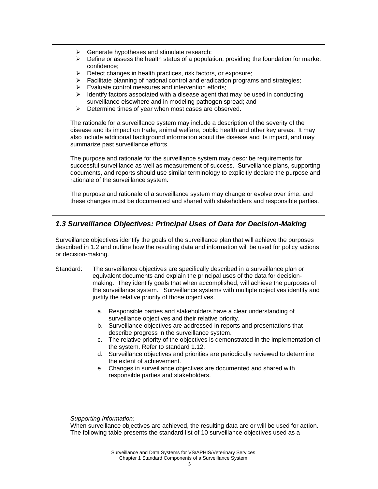- $\triangleright$  Generate hypotheses and stimulate research;
- $\triangleright$  Define or assess the health status of a population, providing the foundation for market confidence;
- $\triangleright$  Detect changes in health practices, risk factors, or exposure;
- $\triangleright$  Facilitate planning of national control and eradication programs and strategies;
- $\triangleright$  Evaluate control measures and intervention efforts;
- $\triangleright$  Identify factors associated with a disease agent that may be used in conducting surveillance elsewhere and in modeling pathogen spread; and
- $\triangleright$  Determine times of year when most cases are observed.

The rationale for a surveillance system may include a description of the severity of the disease and its impact on trade, animal welfare, public health and other key areas. It may also include additional background information about the disease and its impact, and may summarize past surveillance efforts.

The purpose and rationale for the surveillance system may describe requirements for successful surveillance as well as measurement of success. Surveillance plans, supporting documents, and reports should use similar terminology to explicitly declare the purpose and rationale of the surveillance system.

The purpose and rationale of a surveillance system may change or evolve over time, and these changes must be documented and shared with stakeholders and responsible parties.

## *1.3 Surveillance Objectives: Principal Uses of Data for Decision-Making*

Surveillance objectives identify the goals of the surveillance plan that will achieve the purposes described in 1.2 and outline how the resulting data and information will be used for policy actions or decision-making.

- Standard: The surveillance objectives are specifically described in a surveillance plan or equivalent documents and explain the principal uses of the data for decisionmaking. They identify goals that when accomplished, will achieve the purposes of the surveillance system. Surveillance systems with multiple objectives identify and justify the relative priority of those objectives.
	- a. Responsible parties and stakeholders have a clear understanding of surveillance objectives and their relative priority.
	- b. Surveillance objectives are addressed in reports and presentations that describe progress in the surveillance system.
	- c. The relative priority of the objectives is demonstrated in the implementation of the system. Refer to standard 1.12.
	- d. Surveillance objectives and priorities are periodically reviewed to determine the extent of achievement.
	- e. Changes in surveillance objectives are documented and shared with responsible parties and stakeholders.

*Supporting Information:* 

When surveillance objectives are achieved, the resulting data are or will be used for action. The following table presents the standard list of 10 surveillance objectives used as a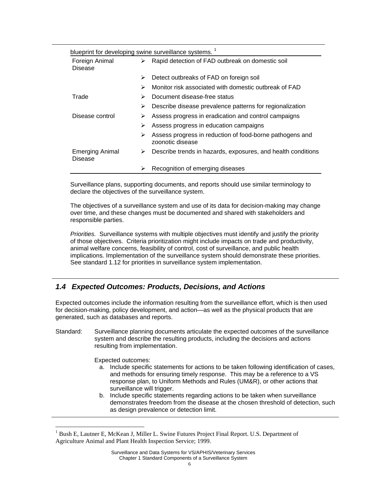|                                   |   | blueprint for developing swine surveillance systems. <sup>1</sup>            |  |  |
|-----------------------------------|---|------------------------------------------------------------------------------|--|--|
| Foreign Animal<br>Disease         | ➤ | Rapid detection of FAD outbreak on domestic soil                             |  |  |
|                                   | ➤ | Detect outbreaks of FAD on foreign soil                                      |  |  |
|                                   | ➤ | Monitor risk associated with domestic outbreak of FAD                        |  |  |
| Trade                             | ➤ | Document disease-free status                                                 |  |  |
|                                   | ⋗ | Describe disease prevalence patterns for regionalization                     |  |  |
| Disease control                   | ➤ | Assess progress in eradication and control campaigns                         |  |  |
|                                   | ⋗ | Assess progress in education campaigns                                       |  |  |
|                                   | ➤ | Assess progress in reduction of food-borne pathogens and<br>zoonotic disease |  |  |
| <b>Emerging Animal</b><br>Disease | ➤ | Describe trends in hazards, exposures, and health conditions                 |  |  |
|                                   | ⋗ | Recognition of emerging diseases                                             |  |  |

Surveillance plans, supporting documents, and reports should use similar terminology to declare the objectives of the surveillance system.

The objectives of a surveillance system and use of its data for decision-making may change over time, and these changes must be documented and shared with stakeholders and responsible parties.

*Priorities.* Surveillance systems with multiple objectives must identify and justify the priority of those objectives. Criteria prioritization might include impacts on trade and productivity, animal welfare concerns, feasibility of control, cost of surveillance, and public health implications. Implementation of the surveillance system should demonstrate these priorities. See standard 1.12 for priorities in surveillance system implementation.

## *1.4 Expected Outcomes: Products, Decisions, and Actions*

Expected outcomes include the information resulting from the surveillance effort, which is then used for decision-making, policy development, and action—as well as the physical products that are generated, such as databases and reports.

Standard: Surveillance planning documents articulate the expected outcomes of the surveillance system and describe the resulting products, including the decisions and actions resulting from implementation.

Expected outcomes:

 $\overline{a}$ 

- a. Include specific statements for actions to be taken following identification of cases, and methods for ensuring timely response. This may be a reference to a VS response plan, to Uniform Methods and Rules (UM&R), or other actions that surveillance will trigger.
- b. Include specific statements regarding actions to be taken when surveillance demonstrates freedom from the disease at the chosen threshold of detection, such as design prevalence or detection limit.

<sup>1</sup> Bush E, Lautner E, McKean J, Miller L. Swine Futures Project Final Report. U.S. Department of Agriculture Animal and Plant Health Inspection Service; 1999.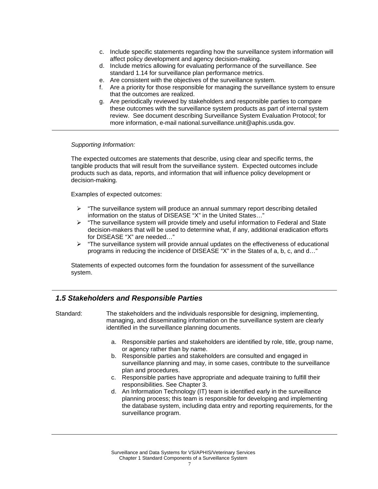- c. Include specific statements regarding how the surveillance system information will affect policy development and agency decision-making.
- d. Include metrics allowing for evaluating performance of the surveillance. See standard 1.14 for surveillance plan performance metrics.
- e. Are consistent with the objectives of the surveillance system.
- f. Are a priority for those responsible for managing the surveillance system to ensure that the outcomes are realized.
- g. Are periodically reviewed by stakeholders and responsible parties to compare these outcomes with the surveillance system products as part of internal system review. See document describing Surveillance System Evaluation Protocol; for more information, e-mail national.surveillance.unit@aphis.usda.gov.

The expected outcomes are statements that describe, using clear and specific terms, the tangible products that will result from the surveillance system. Expected outcomes include products such as data, reports, and information that will influence policy development or decision-making.

Examples of expected outcomes:

- $\triangleright$  "The surveillance system will produce an annual summary report describing detailed information on the status of DISEASE "X" in the United States…"
- $\triangleright$  "The surveillance system will provide timely and useful information to Federal and State decision-makers that will be used to determine what, if any, additional eradication efforts for DISEASE "X" are needed…"
- ¾ "The surveillance system will provide annual updates on the effectiveness of educational programs in reducing the incidence of DISEASE "X" in the States of a, b, c, and d…"

Statements of expected outcomes form the foundation for assessment of the surveillance system.

### *1.5 Stakeholders and Responsible Parties*

- Standard: The stakeholders and the individuals responsible for designing, implementing, managing, and disseminating information on the surveillance system are clearly identified in the surveillance planning documents.
	- a. Responsible parties and stakeholders are identified by role, title, group name, or agency rather than by name.
	- b. Responsible parties and stakeholders are consulted and engaged in surveillance planning and may, in some cases, contribute to the surveillance plan and procedures.
	- c. Responsible parties have appropriate and adequate training to fulfill their responsibilities. See Chapter 3.
	- d. An Information Technology (IT) team is identified early in the surveillance planning process; this team is responsible for developing and implementing the database system, including data entry and reporting requirements, for the surveillance program.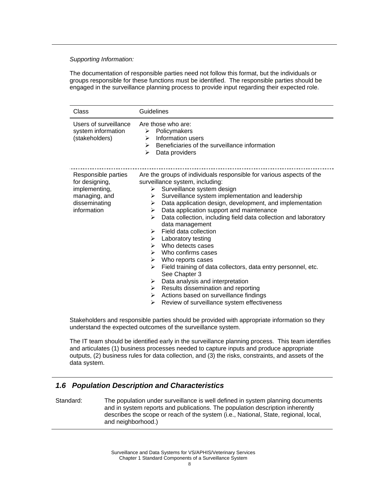The documentation of responsible parties need not follow this format, but the individuals or groups responsible for these functions must be identified. The responsible parties should be engaged in the surveillance planning process to provide input regarding their expected role.

| Class                                                                                                   | Guidelines                                                                                                                                                                                                                                                                                                                                                                                                                                                                                                                                                                                                                                                                                                                                                                                                                               |  |  |
|---------------------------------------------------------------------------------------------------------|------------------------------------------------------------------------------------------------------------------------------------------------------------------------------------------------------------------------------------------------------------------------------------------------------------------------------------------------------------------------------------------------------------------------------------------------------------------------------------------------------------------------------------------------------------------------------------------------------------------------------------------------------------------------------------------------------------------------------------------------------------------------------------------------------------------------------------------|--|--|
| Users of surveillance<br>system information<br>(stakeholders)                                           | Are those who are:<br>Policymakers<br>≻<br>Information users<br>➤<br>Beneficiaries of the surveillance information<br>➤<br>↘<br>Data providers                                                                                                                                                                                                                                                                                                                                                                                                                                                                                                                                                                                                                                                                                           |  |  |
| Responsible parties<br>for designing,<br>implementing,<br>managing, and<br>disseminating<br>information | Are the groups of individuals responsible for various aspects of the<br>surveillance system, including:<br>Surveillance system design<br>➤<br>Surveillance system implementation and leadership<br>➤<br>Data application design, development, and implementation<br>➤<br>Data application support and maintenance<br>➤<br>Data collection, including field data collection and laboratory<br>↘<br>data management<br>Field data collection<br>➤<br>Laboratory testing<br>➤<br>Who detects cases<br>⋗<br>Who confirms cases<br>➤<br>Who reports cases<br>≻<br>➤<br>Field training of data collectors, data entry personnel, etc.<br>See Chapter 3<br>Data analysis and interpretation<br>➤<br>Results dissemination and reporting<br>➤<br>Actions based on surveillance findings<br>➤<br>Review of surveillance system effectiveness<br>➤ |  |  |

Stakeholders and responsible parties should be provided with appropriate information so they understand the expected outcomes of the surveillance system.

The IT team should be identified early in the surveillance planning process. This team identifies and articulates (1) business processes needed to capture inputs and produce appropriate outputs, (2) business rules for data collection, and (3) the risks, constraints, and assets of the data system.

## *1.6 Population Description and Characteristics*

Standard: The population under surveillance is well defined in system planning documents and in system reports and publications. The population description inherently describes the scope or reach of the system (i.e., National, State, regional, local, and neighborhood.)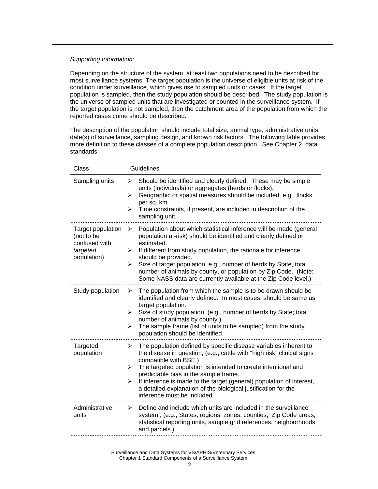Depending on the structure of the system, at least two populations need to be described for most surveillance systems. The target population is the universe of eligible units at risk of the condition under surveillance, which gives rise to sampled units or cases. If the target population is sampled, then the study population should be described. The study population is the universe of sampled units that are investigated or counted in the surveillance system. If the target population is not sampled, then the catchment area of the population from which the reported cases come should be described.

The description of the population should include total size, animal type, administrative units, date(s) of surveillance, sampling design, and known risk factors. The following table provides more definition to these classes of a complete population description. See Chapter 2, data standards.

| Class                                                                       | <b>Guidelines</b>                                                                                                                                                                                                                                                                                                                                                                                                                                                                        |  |  |
|-----------------------------------------------------------------------------|------------------------------------------------------------------------------------------------------------------------------------------------------------------------------------------------------------------------------------------------------------------------------------------------------------------------------------------------------------------------------------------------------------------------------------------------------------------------------------------|--|--|
| Sampling units                                                              | Should be identified and clearly defined. These may be simple<br>➤<br>units (individuals) or aggregates (herds or flocks).<br>Geographic or spatial measures should be included, e.g., flocks<br>➤<br>per sq. km.<br>Time constraints, if present, are included in description of the<br>➤<br>sampling unit.                                                                                                                                                                             |  |  |
| Target population<br>(not to be<br>confused with<br>targeted<br>population) | Population about which statistical inference will be made (general<br>➤<br>population at-risk) should be identified and clearly defined or<br>estimated.<br>If different from study population, the rationale for inference<br>➤<br>should be provided.<br>Size of target population, e.g., number of herds by State, total<br>$\blacktriangleright$<br>number of animals by county, or population by Zip Code. (Note:<br>Some NASS data are currently available at the Zip Code level.) |  |  |
| Study population                                                            | The population from which the sample is to be drawn should be<br>➤<br>identified and clearly defined. In most cases, should be same as<br>target population.<br>Size of study population, (e.g., number of herds by State; total<br>➤<br>number of animals by county.)<br>The sample frame (list of units to be sampled) from the study<br>➤<br>population should be identified.                                                                                                         |  |  |
| Targeted<br>population                                                      | The population defined by specific disease variables inherent to<br>➤<br>the disease in question, (e.g., cattle with "high risk" clinical signs<br>compatible with BSE.)<br>The targeted population is intended to create intentional and<br>≻<br>predictable bias in the sample frame.<br>If inference is made to the target (general) population of interest,<br>➤<br>a detailed explanation of the biological justification for the<br>inference must be included.                    |  |  |
| Administrative<br>units                                                     | Define and include which units are included in the surveillance<br>➤<br>system, (e.g., States, regions, zones, counties, Zip Code areas,<br>statistical reporting units, sample grid references, neighborhoods,<br>and parcels.)                                                                                                                                                                                                                                                         |  |  |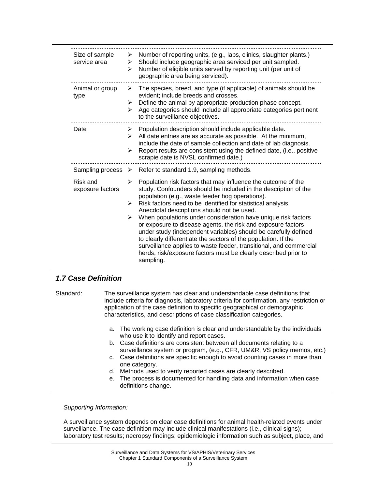| Size of sample<br>service area | Number of reporting units, (e.g., labs, clinics, slaughter plants.)<br>➤<br>Should include geographic area serviced per unit sampled.<br>≻<br>Number of eligible units served by reporting unit (per unit of<br>➤<br>geographic area being serviced).                                                                                                                                                                                                                                                                                                                                                                                                                                                                                                            |
|--------------------------------|------------------------------------------------------------------------------------------------------------------------------------------------------------------------------------------------------------------------------------------------------------------------------------------------------------------------------------------------------------------------------------------------------------------------------------------------------------------------------------------------------------------------------------------------------------------------------------------------------------------------------------------------------------------------------------------------------------------------------------------------------------------|
| Animal or group<br>type        | The species, breed, and type (if applicable) of animals should be<br>➤<br>evident; include breeds and crosses.<br>Define the animal by appropriate production phase concept.<br>➤<br>Age categories should include all appropriate categories pertinent<br>⋗<br>to the surveillance objectives.                                                                                                                                                                                                                                                                                                                                                                                                                                                                  |
| Date                           | $\triangleright$ Population description should include applicable date.<br>All date entries are as accurate as possible. At the minimum,<br>➤<br>include the date of sample collection and date of lab diagnosis.<br>Report results are consistent using the defined date, (i.e., positive<br>➤<br>scrapie date is NVSL confirmed date.)                                                                                                                                                                                                                                                                                                                                                                                                                         |
|                                | Sampling process $\triangleright$ Refer to standard 1.9, sampling methods.                                                                                                                                                                                                                                                                                                                                                                                                                                                                                                                                                                                                                                                                                       |
| Risk and<br>exposure factors   | Population risk factors that may influence the outcome of the<br>➤<br>study. Confounders should be included in the description of the<br>population (e.g., waste feeder hog operations).<br>$\blacktriangleright$<br>Risk factors need to be identified for statistical analysis.<br>Anecdotal descriptions should not be used.<br>When populations under consideration have unique risk factors<br>➤<br>or exposure to disease agents, the risk and exposure factors<br>under study (independent variables) should be carefully defined<br>to clearly differentiate the sectors of the population. If the<br>surveillance applies to waste feeder, transitional, and commercial<br>herds, risk/exposure factors must be clearly described prior to<br>sampling. |

## *1.7 Case Definition*

Standard: The surveillance system has clear and understandable case definitions that include criteria for diagnosis, laboratory criteria for confirmation, any restriction or application of the case definition to specific geographical or demographic characteristics, and descriptions of case classification categories.

- a. The working case definition is clear and understandable by the individuals who use it to identify and report cases.
- b. Case definitions are consistent between all documents relating to a surveillance system or program, (e.g., CFR, UM&R, VS policy memos, etc.)
- c. Case definitions are specific enough to avoid counting cases in more than one category.
- d. Methods used to verify reported cases are clearly described.
- e. The process is documented for handling data and information when case definitions change.

*Supporting Information:* 

A surveillance system depends on clear case definitions for animal health-related events under surveillance. The case definition may include clinical manifestations (i.e., clinical signs); laboratory test results; necropsy findings; epidemiologic information such as subject, place, and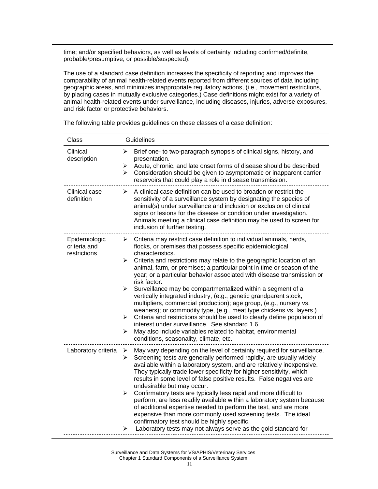time; and/or specified behaviors, as well as levels of certainty including confirmed/definite, probable/presumptive, or possible/suspected).

The use of a standard case definition increases the specificity of reporting and improves the comparability of animal health-related events reported from different sources of data including geographic areas, and minimizes inappropriate regulatory actions, (i.e., movement restrictions, by placing cases in mutually exclusive categories.) Case definitions might exist for a variety of animal health-related events under surveillance, including diseases, injuries, adverse exposures, and risk factor or protective behaviors.

| Class                                         | Guidelines                                                                                                                                                                                                                                                                                                                                                                                                                                                                                                                                                                                                                                                                                                                                                                                                                                                                                                                                                                          |  |  |
|-----------------------------------------------|-------------------------------------------------------------------------------------------------------------------------------------------------------------------------------------------------------------------------------------------------------------------------------------------------------------------------------------------------------------------------------------------------------------------------------------------------------------------------------------------------------------------------------------------------------------------------------------------------------------------------------------------------------------------------------------------------------------------------------------------------------------------------------------------------------------------------------------------------------------------------------------------------------------------------------------------------------------------------------------|--|--|
| Clinical<br>description                       | Brief one- to two-paragraph synopsis of clinical signs, history, and<br>➤<br>presentation.<br>Acute, chronic, and late onset forms of disease should be described.<br>➤<br>Consideration should be given to asymptomatic or inapparent carrier<br>$\blacktriangleright$<br>reservoirs that could play a role in disease transmission.                                                                                                                                                                                                                                                                                                                                                                                                                                                                                                                                                                                                                                               |  |  |
| Clinical case<br>definition                   | A clinical case definition can be used to broaden or restrict the<br>➤<br>sensitivity of a surveillance system by designating the species of<br>animal(s) under surveillance and inclusion or exclusion of clinical<br>signs or lesions for the disease or condition under investigation.<br>Animals meeting a clinical case definition may be used to screen for<br>inclusion of further testing.                                                                                                                                                                                                                                                                                                                                                                                                                                                                                                                                                                                  |  |  |
| Epidemiologic<br>criteria and<br>restrictions | $\triangleright$ Criteria may restrict case definition to individual animals, herds,<br>flocks, or premises that possess specific epidemiological<br>characteristics.<br>Criteria and restrictions may relate to the geographic location of an<br>➤<br>animal, farm, or premises; a particular point in time or season of the<br>year; or a particular behavior associated with disease transmission or<br>risk factor.<br>Surveillance may be compartmentalized within a segment of a<br>➤<br>vertically integrated industry, (e.g., genetic grandparent stock,<br>multipliers, commercial production); age group, (e.g., nursery vs.<br>weaners); or commodity type, (e.g., meat type chickens vs. layers.)<br>Criteria and restrictions should be used to clearly define population of<br>$\blacktriangleright$<br>interest under surveillance. See standard 1.6.<br>May also include variables related to habitat, environmental<br>➤<br>conditions, seasonality, climate, etc. |  |  |
| Laboratory criteria                           | May vary depending on the level of certainty required for surveillance.<br>➤<br>Screening tests are generally performed rapidly, are usually widely<br>➤<br>available within a laboratory system, and are relatively inexpensive.<br>They typically trade lower specificity for higher sensitivity, which<br>results in some level of false positive results. False negatives are<br>undesirable but may occur.<br>Confirmatory tests are typically less rapid and more difficult to<br>➤<br>perform, are less readily available within a laboratory system because<br>of additional expertise needed to perform the test, and are more<br>expensive than more commonly used screening tests. The ideal<br>confirmatory test should be highly specific.<br>Laboratory tests may not always serve as the gold standard for<br>≻                                                                                                                                                      |  |  |

The following table provides guidelines on these classes of a case definition:

Surveillance and Data Systems for VS/APHIS/Veterinary Services Chapter 1 Standard Components of a Surveillance System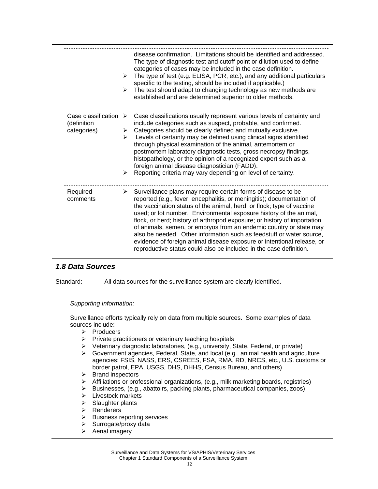|                                                                    | $\blacktriangleright$<br>≻      | disease confirmation. Limitations should be identified and addressed.<br>The type of diagnostic test and cutoff point or dilution used to define<br>categories of cases may be included in the case definition.<br>The type of test (e.g. ELISA, PCR, etc.), and any additional particulars<br>specific to the testing, should be included if applicable.)<br>The test should adapt to changing technology as new methods are<br>established and are determined superior to older methods.                                                                                                                                                                      |
|--------------------------------------------------------------------|---------------------------------|-----------------------------------------------------------------------------------------------------------------------------------------------------------------------------------------------------------------------------------------------------------------------------------------------------------------------------------------------------------------------------------------------------------------------------------------------------------------------------------------------------------------------------------------------------------------------------------------------------------------------------------------------------------------|
| Case classification $\triangleright$<br>(definition<br>categories) | ≻<br>$\blacktriangleright$<br>≻ | Case classifications usually represent various levels of certainty and<br>include categories such as suspect, probable, and confirmed.<br>Categories should be clearly defined and mutually exclusive.<br>Levels of certainty may be defined using clinical signs identified<br>through physical examination of the animal, antemortem or<br>postmortem laboratory diagnostic tests, gross necropsy findings,<br>histopathology, or the opinion of a recognized expert such as a<br>foreign animal disease diagnostician (FADD).<br>Reporting criteria may vary depending on level of certainty.                                                                |
| Required<br>comments                                               | ≻                               | Surveillance plans may require certain forms of disease to be<br>reported (e.g., fever, encephalitis, or meningitis); documentation of<br>the vaccination status of the animal, herd, or flock; type of vaccine<br>used; or lot number. Environmental exposure history of the animal,<br>flock, or herd; history of arthropod exposure; or history of importation<br>of animals, semen, or embryos from an endemic country or state may<br>also be needed. Other information such as feedstuff or water source,<br>evidence of foreign animal disease exposure or intentional release, or<br>reproductive status could also be included in the case definition. |

## *1.8 Data Sources*

Standard: All data sources for the surveillance system are clearly identified.

#### *Supporting Information:*

Surveillance efforts typically rely on data from multiple sources. Some examples of data sources include:

- $\triangleright$  Producers
- $\triangleright$  Private practitioners or veterinary teaching hospitals
- ¾ Veterinary diagnostic laboratories, (e.g., university, State, Federal, or private)
- ¾ Government agencies, Federal, State, and local (e.g., animal health and agriculture agencies: FSIS, NASS, ERS, CSREES, FSA, RMA, RD, NRCS, etc., U.S. customs or border patrol, EPA, USGS, DHS, DHHS, Census Bureau, and others)
- $\triangleright$  Brand inspectors
- ¾ Affiliations or professional organizations, (e.g., milk marketing boards, registries)
- ¾ Businesses, (e.g., abattoirs, packing plants, pharmaceutical companies, zoos)
- $\triangleright$  Livestock markets
- $\triangleright$  Slaughter plants
- ¾ Renderers
- $\triangleright$  Business reporting services
- $\triangleright$  Surrogate/proxy data
- $\triangleright$  Aerial imagery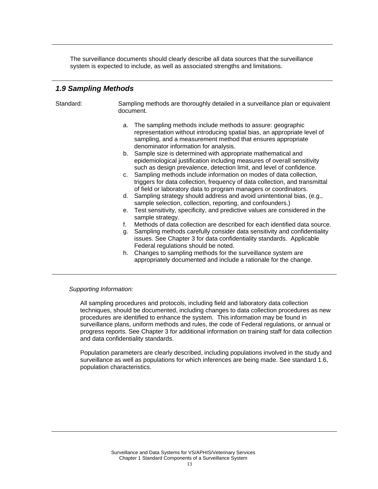The surveillance documents should clearly describe all data sources that the surveillance system is expected to include, as well as associated strengths and limitations.

### *1.9 Sampling Methods*

Standard: Sampling methods are thoroughly detailed in a surveillance plan or equivalent document.

- a. The sampling methods include methods to assure: geographic representation without introducing spatial bias, an appropriate level of sampling, and a measurement method that ensures appropriate denominator information for analysis.
- b. Sample size is determined with appropriate mathematical and epidemiological justification including measures of overall sensitivity such as design prevalence, detection limit, and level of confidence.
- c. Sampling methods include information on modes of data collection, triggers for data collection, frequency of data collection, and transmittal of field or laboratory data to program managers or coordinators.
- d. Sampling strategy should address and avoid unintentional bias, (e.g., sample selection, collection, reporting, and confounders.)
- e. Test sensitivity, specificity, and predictive values are considered in the sample strategy.
- f. Methods of data collection are described for each identified data source.
- g. Sampling methods carefully consider data sensitivity and confidentiality issues. See Chapter 3 for data confidentiality standards. Applicable Federal regulations should be noted.
- h. Changes to sampling methods for the surveillance system are appropriately documented and include a rationale for the change.

#### *Supporting Information:*

All sampling procedures and protocols, including field and laboratory data collection techniques, should be documented, including changes to data collection procedures as new procedures are identified to enhance the system. This information may be found in surveillance plans, uniform methods and rules, the code of Federal regulations, or annual or progress reports. See Chapter 3 for additional information on training staff for data collection and data confidentiality standards.

Population parameters are clearly described, including populations involved in the study and surveillance as well as populations for which inferences are being made. See standard 1.6, population characteristics.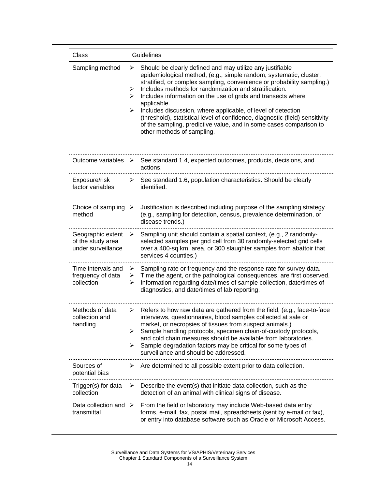| Class                                                        | Guidelines                                                                                                                                                                                                                                                                                                                                                                                                                                                                                                                                                                                                                 |
|--------------------------------------------------------------|----------------------------------------------------------------------------------------------------------------------------------------------------------------------------------------------------------------------------------------------------------------------------------------------------------------------------------------------------------------------------------------------------------------------------------------------------------------------------------------------------------------------------------------------------------------------------------------------------------------------------|
| Sampling method                                              | Should be clearly defined and may utilize any justifiable<br>➤<br>epidemiological method, (e.g., simple random, systematic, cluster,<br>stratified, or complex sampling, convenience or probability sampling.)<br>Includes methods for randomization and stratification.<br>➤<br>Includes information on the use of grids and transects where<br>➤<br>applicable.<br>Includes discussion, where applicable, of level of detection<br>➤<br>(threshold), statistical level of confidence, diagnostic (field) sensitivity<br>of the sampling, predictive value, and in some cases comparison to<br>other methods of sampling. |
| Outcome variables $\geq$                                     | See standard 1.4, expected outcomes, products, decisions, and<br>actions.                                                                                                                                                                                                                                                                                                                                                                                                                                                                                                                                                  |
| Exposure/risk<br>factor variables                            | See standard 1.6, population characteristics. Should be clearly<br>≻<br>identified.                                                                                                                                                                                                                                                                                                                                                                                                                                                                                                                                        |
| Choice of sampling $\triangleright$<br>method                | Justification is described including purpose of the sampling strategy<br>(e.g., sampling for detection, census, prevalence determination, or<br>disease trends.)                                                                                                                                                                                                                                                                                                                                                                                                                                                           |
| Geographic extent<br>of the study area<br>under surveillance | Sampling unit should contain a spatial context, (e.g., 2 randomly-<br>➤<br>selected samples per grid cell from 30 randomly-selected grid cells<br>over a 400-sq.km. area, or 300 slaughter samples from abattoir that<br>services 4 counties.)                                                                                                                                                                                                                                                                                                                                                                             |
| Time intervals and<br>frequency of data<br>collection        | Sampling rate or frequency and the response rate for survey data.<br>➤<br>Time the agent, or the pathological consequences, are first observed.<br>➤<br>Information regarding date/times of sample collection, date/times of<br>➤<br>diagnostics, and date/times of lab reporting.                                                                                                                                                                                                                                                                                                                                         |
| Methods of data<br>collection and<br>handling                | Refers to how raw data are gathered from the field, (e.g., face-to-face<br>➤<br>interviews, questionnaires, blood samples collected at sale or<br>market, or necropsies of tissues from suspect animals.)<br>Sample handling protocols, specimen chain-of-custody protocols,<br>➤<br>and cold chain measures should be available from laboratories.<br>Sample degradation factors may be critical for some types of<br>➤<br>surveillance and should be addressed.                                                                                                                                                          |
| Sources of<br>potential bias                                 | Are determined to all possible extent prior to data collection.<br>➤                                                                                                                                                                                                                                                                                                                                                                                                                                                                                                                                                       |
| Trigger(s) for data<br>collection                            | Describe the event(s) that initiate data collection, such as the<br>➤<br>detection of an animal with clinical signs of disease.                                                                                                                                                                                                                                                                                                                                                                                                                                                                                            |
| Data collection and $\triangleright$<br>transmittal          | From the field or laboratory may include Web-based data entry<br>forms, e-mail, fax, postal mail, spreadsheets (sent by e-mail or fax),<br>or entry into database software such as Oracle or Microsoft Access.                                                                                                                                                                                                                                                                                                                                                                                                             |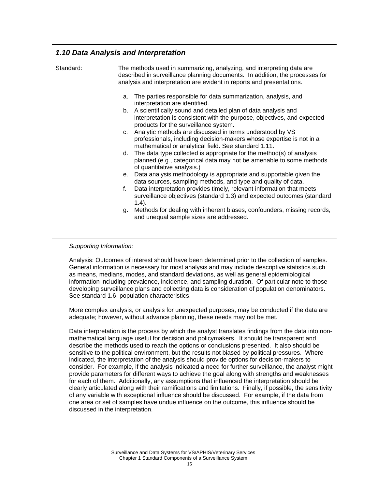## *1.10 Data Analysis and Interpretation*

| Standard: | The methods used in summarizing, analyzing, and interpreting data are<br>described in surveillance planning documents. In addition, the processes for<br>analysis and interpretation are evident in reports and presentations.                                                                                                                                                                                                                                                                                                                                                                                                                                                                                                                                                                                                                                                                                                                                                                                                                                                                                      |
|-----------|---------------------------------------------------------------------------------------------------------------------------------------------------------------------------------------------------------------------------------------------------------------------------------------------------------------------------------------------------------------------------------------------------------------------------------------------------------------------------------------------------------------------------------------------------------------------------------------------------------------------------------------------------------------------------------------------------------------------------------------------------------------------------------------------------------------------------------------------------------------------------------------------------------------------------------------------------------------------------------------------------------------------------------------------------------------------------------------------------------------------|
|           | The parties responsible for data summarization, analysis, and<br>a.<br>interpretation are identified.<br>b. A scientifically sound and detailed plan of data analysis and<br>interpretation is consistent with the purpose, objectives, and expected<br>products for the surveillance system.<br>c. Analytic methods are discussed in terms understood by VS<br>professionals, including decision-makers whose expertise is not in a<br>mathematical or analytical field. See standard 1.11.<br>d. The data type collected is appropriate for the method(s) of analysis<br>planned (e.g., categorical data may not be amenable to some methods<br>of quantitative analysis.)<br>e. Data analysis methodology is appropriate and supportable given the<br>data sources, sampling methods, and type and quality of data.<br>Data interpretation provides timely, relevant information that meets<br>f.<br>surveillance objectives (standard 1.3) and expected outcomes (standard<br>$1.4$ ).<br>g. Methods for dealing with inherent biases, confounders, missing records,<br>and unequal sample sizes are addressed. |

#### *Supporting Information:*

Analysis: Outcomes of interest should have been determined prior to the collection of samples. General information is necessary for most analysis and may include descriptive statistics such as means, medians, modes, and standard deviations, as well as general epidemiological information including prevalence, incidence, and sampling duration. Of particular note to those developing surveillance plans and collecting data is consideration of population denominators. See standard 1.6, population characteristics.

More complex analysis, or analysis for unexpected purposes, may be conducted if the data are adequate; however, without advance planning, these needs may not be met.

Data interpretation is the process by which the analyst translates findings from the data into nonmathematical language useful for decision and policymakers. It should be transparent and describe the methods used to reach the options or conclusions presented. It also should be sensitive to the political environment, but the results not biased by political pressures. Where indicated, the interpretation of the analysis should provide options for decision-makers to consider. For example, if the analysis indicated a need for further surveillance, the analyst might provide parameters for different ways to achieve the goal along with strengths and weaknesses for each of them. Additionally, any assumptions that influenced the interpretation should be clearly articulated along with their ramifications and limitations. Finally, if possible, the sensitivity of any variable with exceptional influence should be discussed. For example, if the data from one area or set of samples have undue influence on the outcome, this influence should be discussed in the interpretation.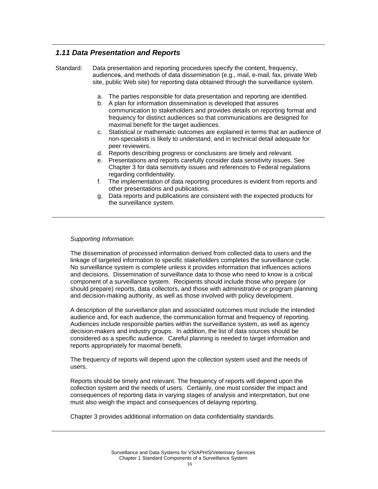## *1.11 Data Presentation and Reports*

Standard: Data presentation and reporting procedures specify the content, frequency, audiences, and methods of data dissemination (e.g., mail, e-mail, fax, private Web site, public Web site) for reporting data obtained through the surveillance system.

- a. The parties responsible for data presentation and reporting are identified.
- b. A plan for information dissemination is developed that assures communication to stakeholders and provides details on reporting format and frequency for distinct audiences so that communications are designed for maximal benefit for the target audiences.
- c. Statistical or mathematic outcomes are explained in terms that an audience of non-specialists is likely to understand, and in technical detail adequate for peer reviewers.
- d. Reports describing progress or conclusions are timely and relevant.
- e. Presentations and reports carefully consider data sensitivity issues. See Chapter 3 for data sensitivity issues and references to Federal regulations regarding confidentiality.
- f. The implementation of data reporting procedures is evident from reports and other presentations and publications.
- g. Data reports and publications are consistent with the expected products for the surveillance system.

#### *Supporting Information:*

The dissemination of processed information derived from collected data to users and the linkage of targeted information to specific stakeholders completes the surveillance cycle. No surveillance system is complete unless it provides information that influences actions and decisions. Dissemination of surveillance data to those who need to know is a critical component of a surveillance system. Recipients should include those who prepare (or should prepare) reports, data collectors, and those with administrative or program planning and decision-making authority, as well as those involved with policy development.

A description of the surveillance plan and associated outcomes must include the intended audience and, for each audience, the communication format and frequency of reporting. Audiences include responsible parties within the surveillance system, as well as agency decision-makers and industry groups. In addition, the list of data sources should be considered as a specific audience. Careful planning is needed to target information and reports appropriately for maximal benefit.

The frequency of reports will depend upon the collection system used and the needs of users.

Reports should be timely and relevant. The frequency of reports will depend upon the collection system and the needs of users. Certainly, one must consider the impact and consequences of reporting data in varying stages of analysis and interpretation, but one must also weigh the impact and consequences of delaying reporting.

Chapter 3 provides additional information on data confidentiality standards.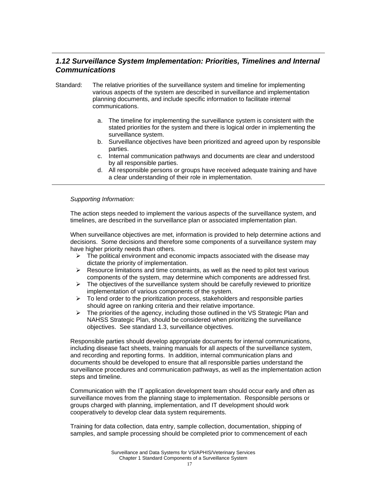## *1.12 Surveillance System Implementation: Priorities, Timelines and Internal Communications*

- Standard: The relative priorities of the surveillance system and timeline for implementing various aspects of the system are described in surveillance and implementation planning documents, and include specific information to facilitate internal communications.
	- a. The timeline for implementing the surveillance system is consistent with the stated priorities for the system and there is logical order in implementing the surveillance system.
	- b. Surveillance objectives have been prioritized and agreed upon by responsible parties.
	- c. Internal communication pathways and documents are clear and understood by all responsible parties.
	- d. All responsible persons or groups have received adequate training and have a clear understanding of their role in implementation.

#### *Supporting Information:*

The action steps needed to implement the various aspects of the surveillance system, and timelines, are described in the surveillance plan or associated implementation plan.

When surveillance objectives are met, information is provided to help determine actions and decisions. Some decisions and therefore some components of a surveillance system may have higher priority needs than others.

- $\geq$  The political environment and economic impacts associated with the disease may dictate the priority of implementation.
- $\triangleright$  Resource limitations and time constraints, as well as the need to pilot test various components of the system, may determine which components are addressed first.
- $\triangleright$  The objectives of the surveillance system should be carefully reviewed to prioritize implementation of various components of the system.
- $\triangleright$  To lend order to the prioritization process, stakeholders and responsible parties should agree on ranking criteria and their relative importance.
- $\triangleright$  The priorities of the agency, including those outlined in the VS Strategic Plan and NAHSS Strategic Plan, should be considered when prioritizing the surveillance objectives. See standard 1.3, surveillance objectives.

Responsible parties should develop appropriate documents for internal communications, including disease fact sheets, training manuals for all aspects of the surveillance system, and recording and reporting forms. In addition, internal communication plans and documents should be developed to ensure that all responsible parties understand the surveillance procedures and communication pathways, as well as the implementation action steps and timeline.

Communication with the IT application development team should occur early and often as surveillance moves from the planning stage to implementation. Responsible persons or groups charged with planning, implementation, and IT development should work cooperatively to develop clear data system requirements.

Training for data collection, data entry, sample collection, documentation, shipping of samples, and sample processing should be completed prior to commencement of each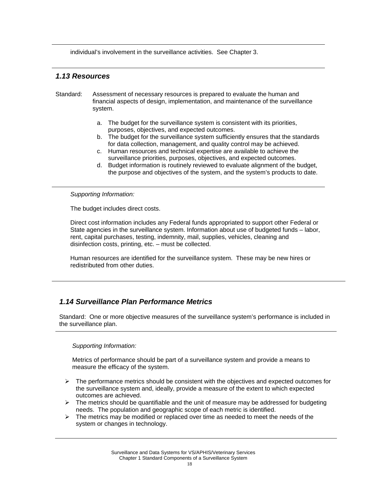individual's involvement in the surveillance activities. See Chapter 3.

### *1.13 Resources*

- Standard: Assessment of necessary resources is prepared to evaluate the human and financial aspects of design, implementation, and maintenance of the surveillance system.
	- a. The budget for the surveillance system is consistent with its priorities, purposes, objectives, and expected outcomes.
	- b. The budget for the surveillance system sufficiently ensures that the standards for data collection, management, and quality control may be achieved.
	- c. Human resources and technical expertise are available to achieve the surveillance priorities, purposes, objectives, and expected outcomes.
	- d. Budget information is routinely reviewed to evaluate alignment of the budget, the purpose and objectives of the system, and the system's products to date.

*Supporting Information:* 

The budget includes direct costs.

Direct cost information includes any Federal funds appropriated to support other Federal or State agencies in the surveillance system. Information about use of budgeted funds – labor, rent, capital purchases, testing, indemnity, mail, supplies, vehicles, cleaning and disinfection costs, printing, etc. – must be collected.

Human resources are identified for the surveillance system. These may be new hires or redistributed from other duties.

## *1.14 Surveillance Plan Performance Metrics*

Standard: One or more objective measures of the surveillance system's performance is included in the surveillance plan.

#### *Supporting Information:*

Metrics of performance should be part of a surveillance system and provide a means to measure the efficacy of the system.

- $\triangleright$  The performance metrics should be consistent with the objectives and expected outcomes for the surveillance system and, ideally, provide a measure of the extent to which expected outcomes are achieved.
- $\triangleright$  The metrics should be quantifiable and the unit of measure may be addressed for budgeting needs. The population and geographic scope of each metric is identified.
- $\triangleright$  The metrics may be modified or replaced over time as needed to meet the needs of the system or changes in technology.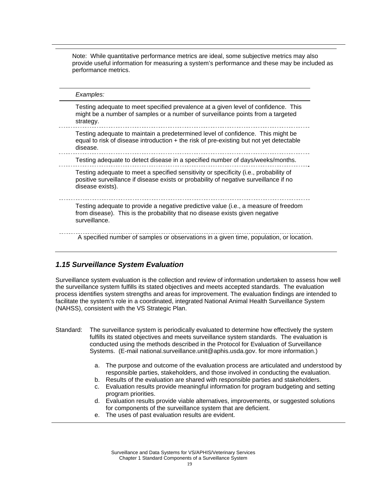Note: While quantitative performance metrics are ideal, some subjective metrics may also provide useful information for measuring a system's performance and these may be included as performance metrics.

*Examples:*  Testing adequate to meet specified prevalence at a given level of confidence. This might be a number of samples or a number of surveillance points from a targeted strategy. Testing adequate to maintain a predetermined level of confidence. This might be equal to risk of disease introduction  $+$  the risk of pre-existing but not yet detectable disease. Testing adequate to detect disease in a specified number of days/weeks/months. Testing adequate to meet a specified sensitivity or specificity (i.e., probability of positive surveillance if disease exists or probability of negative surveillance if no disease exists). Testing adequate to provide a negative predictive value (i.e., a measure of freedom from disease). This is the probability that no disease exists given negative surveillance. A specified number of samples or observations in a given time, population, or location.

## *1.15 Surveillance System Evaluation*

Surveillance system evaluation is the collection and review of information undertaken to assess how well the surveillance system fulfills its stated objectives and meets accepted standards. The evaluation process identifies system strengths and areas for improvement. The evaluation findings are intended to facilitate the system's role in a coordinated, integrated National Animal Health Surveillance System (NAHSS), consistent with the VS Strategic Plan.

- Standard: The surveillance system is periodically evaluated to determine how effectively the system fulfills its stated objectives and meets surveillance system standards. The evaluation is conducted using the methods described in the Protocol for Evaluation of Surveillance Systems. (E-mail national.surveillance.unit@aphis.usda.gov. for more information.)
	- a. The purpose and outcome of the evaluation process are articulated and understood by responsible parties, stakeholders, and those involved in conducting the evaluation.
	- b. Results of the evaluation are shared with responsible parties and stakeholders.
	- c. Evaluation results provide meaningful information for program budgeting and setting program priorities.
	- d. Evaluation results provide viable alternatives, improvements, or suggested solutions for components of the surveillance system that are deficient.
	- e. The uses of past evaluation results are evident.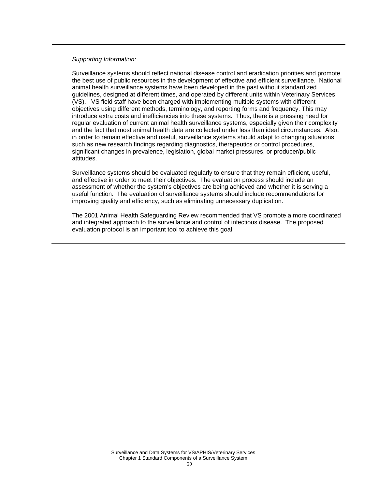Surveillance systems should reflect national disease control and eradication priorities and promote the best use of public resources in the development of effective and efficient surveillance. National animal health surveillance systems have been developed in the past without standardized guidelines, designed at different times, and operated by different units within Veterinary Services (VS). VS field staff have been charged with implementing multiple systems with different objectives using different methods, terminology, and reporting forms and frequency. This may introduce extra costs and inefficiencies into these systems. Thus, there is a pressing need for regular evaluation of current animal health surveillance systems, especially given their complexity and the fact that most animal health data are collected under less than ideal circumstances. Also, in order to remain effective and useful, surveillance systems should adapt to changing situations such as new research findings regarding diagnostics, therapeutics or control procedures, significant changes in prevalence, legislation, global market pressures, or producer/public attitudes.

Surveillance systems should be evaluated regularly to ensure that they remain efficient, useful, and effective in order to meet their objectives. The evaluation process should include an assessment of whether the system's objectives are being achieved and whether it is serving a useful function. The evaluation of surveillance systems should include recommendations for improving quality and efficiency, such as eliminating unnecessary duplication.

The 2001 Animal Health Safeguarding Review recommended that VS promote a more coordinated and integrated approach to the surveillance and control of infectious disease. The proposed evaluation protocol is an important tool to achieve this goal.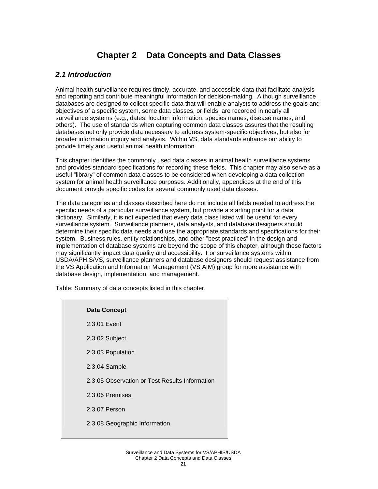## **Chapter 2 Data Concepts and Data Classes**

## *2.1 Introduction*

Animal health surveillance requires timely, accurate, and accessible data that facilitate analysis and reporting and contribute meaningful information for decision-making. Although surveillance databases are designed to collect specific data that will enable analysts to address the goals and objectives of a specific system, some data classes, or fields, are recorded in nearly all surveillance systems (e.g., dates, location information, species names, disease names, and others). The use of standards when capturing common data classes assures that the resulting databases not only provide data necessary to address system-specific objectives, but also for broader information inquiry and analysis. Within VS, data standards enhance our ability to provide timely and useful animal health information.

This chapter identifies the commonly used data classes in animal health surveillance systems and provides standard specifications for recording these fields. This chapter may also serve as a useful "library" of common data classes to be considered when developing a data collection system for animal health surveillance purposes. Additionally, appendices at the end of this document provide specific codes for several commonly used data classes.

The data categories and classes described here do not include all fields needed to address the specific needs of a particular surveillance system, but provide a starting point for a data dictionary. Similarly, it is not expected that every data class listed will be useful for every surveillance system. Surveillance planners, data analysts, and database designers should determine their specific data needs and use the appropriate standards and specifications for their system. Business rules, entity relationships, and other "best practices" in the design and implementation of database systems are beyond the scope of this chapter, although these factors may significantly impact data quality and accessibility. For surveillance systems within USDA/APHIS/VS, surveillance planners and database designers should request assistance from the VS Application and Information Management (VS AIM) group for more assistance with database design, implementation, and management.

Table: Summary of data concepts listed in this chapter.

#### **Data Concept**

| 2.3.01 Event                                   |
|------------------------------------------------|
| 2.3.02 Subject                                 |
| 2.3.03 Population                              |
| 2.3.04 Sample                                  |
| 2.3.05 Observation or Test Results Information |
| 2.3.06 Premises                                |
| 2.3.07 Person                                  |
| 2.3.08 Geographic Information                  |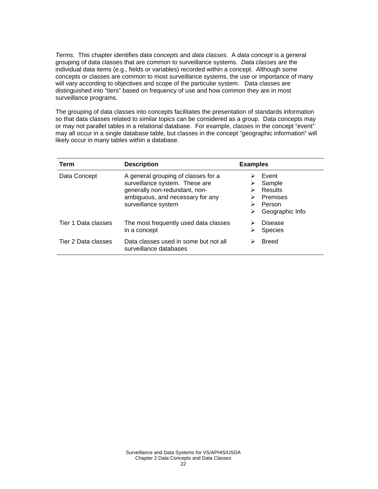*Terms.* This chapter identifies *data concepts* and *data classes*. A *data concept* is a general grouping of data classes that are common to surveillance systems. *Data classes* are the individual data items (e.g., fields or variables) recorded within a concept. Although some concepts or classes are common to most surveillance systems, the use or importance of many will vary according to objectives and scope of the particular system. Data classes are distinguished into "tiers" based on frequency of use and how common they are in most surveillance programs.

The grouping of data classes into concepts facilitates the presentation of standards information so that data classes related to similar topics can be considered as a group. Data concepts may or may not parallel tables in a relational database. For example, classes in the concept "event" may all occur in a single database table, but classes in the concept "geographic information" will likely occur in many tables within a database.

| Term                | <b>Description</b>                                                                                                                                                | <b>Examples</b>                                                     |
|---------------------|-------------------------------------------------------------------------------------------------------------------------------------------------------------------|---------------------------------------------------------------------|
| Data Concept        | A general grouping of classes for a<br>surveillance system. These are<br>generally non-redundant, non-<br>ambiguous, and necessary for any<br>surveillance system | Event<br>Sample<br>Results<br>Premises<br>Person<br>Geographic Info |
| Tier 1 Data classes | The most frequently used data classes<br>in a concept                                                                                                             | Disease<br><b>Species</b>                                           |
| Tier 2 Data classes | Data classes used in some but not all<br>surveillance databases                                                                                                   | <b>Breed</b>                                                        |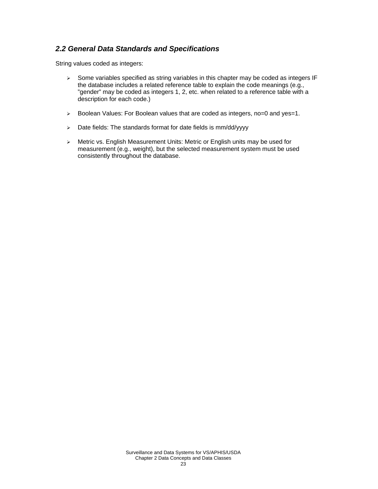## *2.2 General Data Standards and Specifications*

String values coded as integers:

- ¾ Some variables specified as string variables in this chapter may be coded as integers IF the database includes a related reference table to explain the code meanings (e.g., "gender" may be coded as integers 1, 2, etc. when related to a reference table with a description for each code.)
- ¾ Boolean Values: For Boolean values that are coded as integers, no=0 and yes=1.
- ¾ Date fields: The standards format for date fields is mm/dd/yyyy
- ¾ Metric vs. English Measurement Units: Metric or English units may be used for measurement (e.g., weight), but the selected measurement system must be used consistently throughout the database.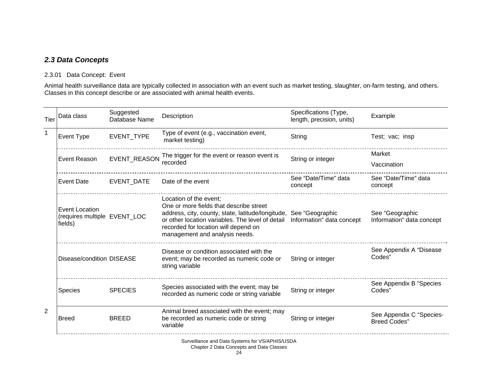## *2.3 Data Concepts*

## 2.3.01 Data Concept: Event

Animal health surveillance data are typically collected in association with an event such as market testing, slaughter, on-farm testing, and others. Classes in this concept describe or are associated with animal health events.

| Tier           | Data class                                                | Suggested<br>Database Name | Description                                                                                                                                                                                                                                                          | Specifications (Type,<br>length, precision, units) | Example                                         |
|----------------|-----------------------------------------------------------|----------------------------|----------------------------------------------------------------------------------------------------------------------------------------------------------------------------------------------------------------------------------------------------------------------|----------------------------------------------------|-------------------------------------------------|
|                | Event Type                                                | EVENT_TYPE                 | Type of event (e.g., vaccination event,<br>market testing)                                                                                                                                                                                                           | String                                             | Test; vac; insp                                 |
|                | Event Reason                                              | EVENT_REASON               | The trigger for the event or reason event is<br>recorded                                                                                                                                                                                                             | String or integer                                  | Market<br>Vaccination                           |
|                | <b>Event Date</b>                                         | <b>EVENT DATE</b>          | Date of the event                                                                                                                                                                                                                                                    | See "Date/Time" data<br>concept                    | See "Date/Time" data<br>concept                 |
|                | Event Location<br>(requires multiple EVENT_LOC<br>fields) |                            | Location of the event;<br>One or more fields that describe street<br>address, city, county, state, latitude/longitude, See "Geographic<br>or other location variables. The level of detail<br>recorded for location will depend on<br>management and analysis needs. | Information" data concept                          | See "Geographic<br>Information" data concept    |
|                | Disease/condition DISEASE                                 |                            | Disease or condition associated with the<br>event; may be recorded as numeric code or<br>string variable                                                                                                                                                             | String or integer                                  | See Appendix A "Disease<br>Codes"               |
|                | Species                                                   | <b>SPECIES</b>             | Species associated with the event; may be<br>recorded as numeric code or string variable                                                                                                                                                                             | String or integer                                  | See Appendix B "Species<br>Codes"               |
| $\overline{2}$ | <b>Breed</b>                                              | <b>BREED</b>               | Animal breed associated with the event; may<br>be recorded as numeric code or string<br>variable                                                                                                                                                                     | String or integer                                  | See Appendix C "Species-<br><b>Breed Codes"</b> |

Surveillance and Data Systems for VS/APHIS/USDA

#### Chapter 2 Data Concepts and Data Classes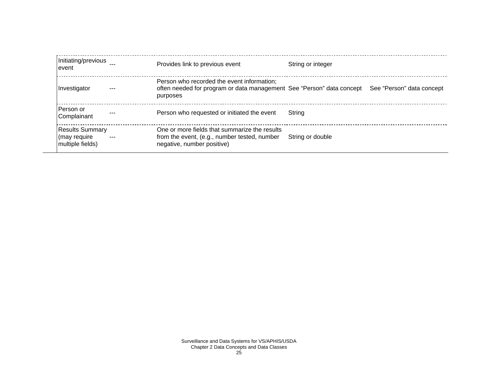| Initiating/previous<br>event                               | Provides link to previous event                                                                                             | String or integer                                                                               |
|------------------------------------------------------------|-----------------------------------------------------------------------------------------------------------------------------|-------------------------------------------------------------------------------------------------|
| Investigator                                               | Person who recorded the event information;<br>purposes                                                                      | often needed for program or data management See "Person" data concept See "Person" data concept |
| lPerson or<br>Complainant                                  | Person who requested or initiated the event                                                                                 | Strina                                                                                          |
| <b>Results Summary</b><br>(may require<br>multiple fields) | One or more fields that summarize the results<br>from the event, (e.g., number tested, number<br>negative, number positive) | String or double                                                                                |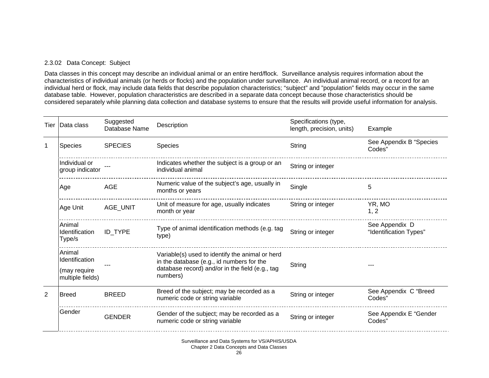#### 2.3.02 Data Concept: Subject

Data classes in this concept may describe an individual animal or an entire herd/flock. Surveillance analysis requires information about the characteristics of individual animals (or herds or flocks) and the population under surveillance. An individual animal record, or a record for an individual herd or flock, may include data fields that describe population characteristics; "subject" and "population" fields may occur in the same database table. However, population characteristics are described in a separate data concept because those characteristics should be considered separately while planning data collection and database systems to ensure that the results will provide useful information for analysis.

| Tier           | Data class                                                   | Suggested<br>Database Name | Description                                                                                                                                                 | Specifications (type,<br>length, precision, units) | Example                                  |
|----------------|--------------------------------------------------------------|----------------------------|-------------------------------------------------------------------------------------------------------------------------------------------------------------|----------------------------------------------------|------------------------------------------|
| 1              | <b>Species</b>                                               | <b>SPECIES</b>             | <b>Species</b>                                                                                                                                              | String                                             | See Appendix B "Species<br>Codes"        |
|                | Individual or<br>group indicator                             |                            | Indicates whether the subject is a group or an<br>individual animal                                                                                         | String or integer                                  |                                          |
|                | Age                                                          | <b>AGE</b>                 | Numeric value of the subject's age, usually in<br>months or years                                                                                           | Single                                             | 5                                        |
|                | Age Unit                                                     | AGE_UNIT                   | Unit of measure for age, usually indicates<br>month or year                                                                                                 | String or integer                                  | YR, MO<br>1, 2                           |
|                | Animal<br><b>Identification</b><br>Type/s                    | ID_TYPE                    | Type of animal identification methods (e.g. tag<br>type)                                                                                                    | String or integer                                  | See Appendix D<br>"Identification Types" |
|                | Animal<br>Identification<br>(may require<br>multiple fields) |                            | Variable(s) used to identify the animal or herd<br>in the database (e.g., id numbers for the<br>database record) and/or in the field (e.g., tag<br>numbers) | String                                             |                                          |
| $\overline{2}$ | <b>Breed</b>                                                 | <b>BREED</b>               | Breed of the subject; may be recorded as a<br>numeric code or string variable                                                                               | String or integer                                  | See Appendix C "Breed<br>Codes"          |
|                | Gender                                                       | <b>GENDER</b>              | Gender of the subject; may be recorded as a<br>numeric code or string variable                                                                              | String or integer                                  | See Appendix E "Gender<br>Codes"         |

Surveillance and Data Systems for VS/APHIS/USDA Chapter 2 Data Concepts and Data Classes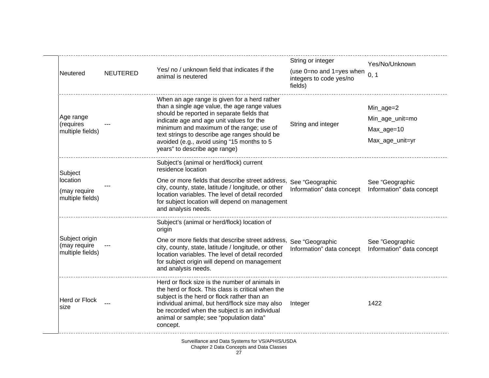| Neutered                                                | <b>NEUTERED</b> | Yes/ no / unknown field that indicates if the<br>animal is neutered                                                                                                                                                                                                                                                                                                 | String or integer<br>(use 0=no and 1=yes when $_{0, 1}$<br>integers to code yes/no<br>fields) | Yes/No/Unknown                                                |
|---------------------------------------------------------|-----------------|---------------------------------------------------------------------------------------------------------------------------------------------------------------------------------------------------------------------------------------------------------------------------------------------------------------------------------------------------------------------|-----------------------------------------------------------------------------------------------|---------------------------------------------------------------|
| Age range<br>(requires<br>multiple fields)              |                 | When an age range is given for a herd rather<br>than a single age value, the age range values<br>should be reported in separate fields that<br>indicate age and age unit values for the<br>minimum and maximum of the range; use of<br>text strings to describe age ranges should be<br>avoided (e.g., avoid using "15 months to 5<br>years" to describe age range) | String and integer                                                                            | Min_age=2<br>Min_age_unit=mo<br>Max_age=10<br>Max_age_unit=yr |
| Subject<br>location<br>(may require<br>multiple fields) |                 | Subject's (animal or herd/flock) current<br>residence location<br>One or more fields that describe street address, See "Geographic<br>city, county, state, latitude / longitude, or other<br>location variables. The level of detail recorded<br>for subject location will depend on management<br>and analysis needs.                                              | Information" data concept                                                                     | See "Geographic<br>Information" data concept                  |
| Subject origin<br>(may require<br>multiple fields)      |                 | Subject's (animal or herd/flock) location of<br>origin<br>One or more fields that describe street address, See "Geographic<br>city, county, state, latitude / longitude, or other<br>location variables. The level of detail recorded<br>for subject origin will depend on management<br>and analysis needs.                                                        | Information" data concept                                                                     | See "Geographic<br>Information" data concept                  |
| <b>Herd or Flock</b><br>size                            |                 | Herd or flock size is the number of animals in<br>the herd or flock. This class is critical when the<br>subject is the herd or flock rather than an<br>individual animal, but herd/flock size may also<br>be recorded when the subject is an individual<br>animal or sample; see "population data"<br>concept.                                                      | Integer                                                                                       | 1422                                                          |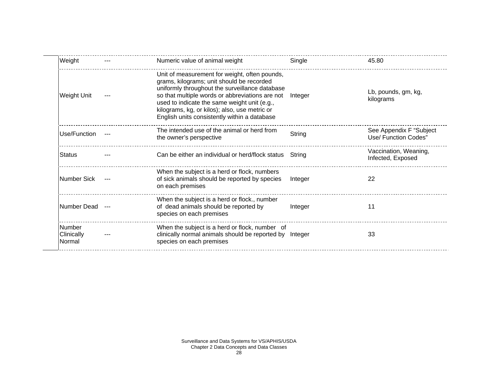| Weight                                | Numeric value of animal weight                                                                                                                                                                                                                                                                                                                   | Single  | 45.80                                            |
|---------------------------------------|--------------------------------------------------------------------------------------------------------------------------------------------------------------------------------------------------------------------------------------------------------------------------------------------------------------------------------------------------|---------|--------------------------------------------------|
| Weight Unit                           | Unit of measurement for weight, often pounds,<br>grams, kilograms; unit should be recorded<br>uniformly throughout the surveillance database<br>so that multiple words or abbreviations are not<br>used to indicate the same weight unit (e.g.,<br>kilograms, kg, or kilos); also, use metric or<br>English units consistently within a database | Integer | Lb, pounds, gm, kg,<br>kilograms                 |
| Use/Function                          | The intended use of the animal or herd from<br>the owner's perspective                                                                                                                                                                                                                                                                           | String  | See Appendix F "Subject"<br>Use/ Function Codes" |
| <b>Status</b>                         | Can be either an individual or herd/flock status                                                                                                                                                                                                                                                                                                 | Strina  | Vaccination, Weaning,<br>Infected, Exposed       |
| Number Sick                           | When the subject is a herd or flock, numbers<br>of sick animals should be reported by species<br>on each premises                                                                                                                                                                                                                                | Integer | 22                                               |
| Number Dead                           | When the subject is a herd or flock., number<br>of dead animals should be reported by<br>species on each premises                                                                                                                                                                                                                                | Integer | 11                                               |
| <b>Number</b><br>Clinically<br>Normal | When the subject is a herd or flock, number of<br>clinically normal animals should be reported by Integer<br>species on each premises                                                                                                                                                                                                            |         | 33                                               |
|                                       |                                                                                                                                                                                                                                                                                                                                                  |         |                                                  |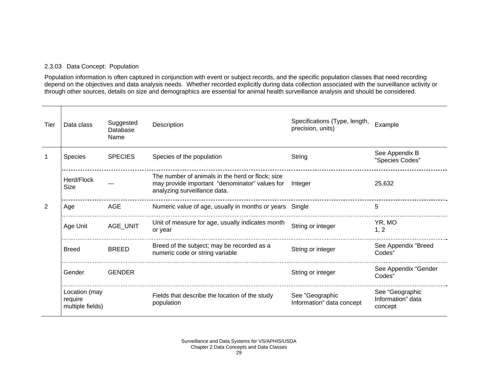### 2.3.03 Data Concept: Population

Population information is often captured in conjunction with event or subject records, and the specific population classes that need recording depend on the objectives and data analysis needs. Whether recorded explicitly during data collection associated with the surveillance activity or through other sources, details on size and demographics are essential for animal health surveillance analysis and should be considered.

| Tier         | Data class                                   | Suggested<br>Database<br>Name | Description                                                                                                                        | Specifications (Type, length,<br>precision, units) | Example                                         |
|--------------|----------------------------------------------|-------------------------------|------------------------------------------------------------------------------------------------------------------------------------|----------------------------------------------------|-------------------------------------------------|
| $\mathbf{1}$ | <b>Species</b>                               | <b>SPECIES</b>                | Species of the population                                                                                                          | String                                             | See Appendix B<br>"Species Codes"               |
|              | Herd/Flock<br>Size                           |                               | The number of animals in the herd or flock; size<br>may provide important "denominator" values for<br>analyzing surveillance data. | Integer                                            | 25,632                                          |
| 2            | Age                                          | AGE                           | Numeric value of age, usually in months or years Single                                                                            |                                                    | 5                                               |
|              | Age Unit                                     | AGE_UNIT                      | Unit of measure for age, usually indicates month<br>or year                                                                        | String or integer                                  | YR, MO<br>1, 2                                  |
|              | <b>Breed</b>                                 | <b>BREED</b>                  | Breed of the subject; may be recorded as a<br>numeric code or string variable                                                      | String or integer                                  | See Appendix "Breed<br>Codes"                   |
|              | Gender                                       | <b>GENDER</b>                 |                                                                                                                                    | String or integer                                  | See Appendix "Gender<br>Codes"                  |
|              | Location (may<br>require<br>multiple fields) |                               | Fields that describe the location of the study<br>population                                                                       | See "Geographic<br>Information" data concept       | See "Geographic<br>Information" data<br>concept |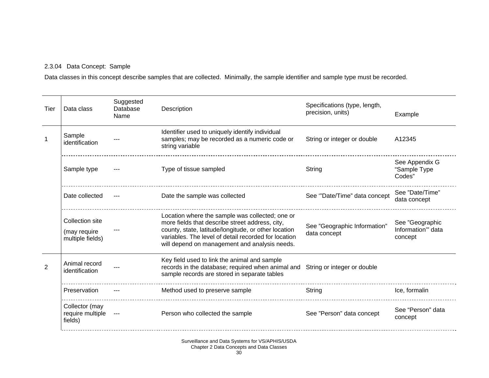## 2.3.04 Data Concept: Sample

Data classes in this concept describe samples that are collected. Minimally, the sample identifier and sample type must be recorded.

| Tier | Data class                                          | Suggested<br>Database<br>Name | Description                                                                                                                                                                                                                                                         | Specifications (type, length,<br>precision, units) | Example                                         |
|------|-----------------------------------------------------|-------------------------------|---------------------------------------------------------------------------------------------------------------------------------------------------------------------------------------------------------------------------------------------------------------------|----------------------------------------------------|-------------------------------------------------|
|      | Sample<br>identification                            |                               | Identifier used to uniquely identify individual<br>samples; may be recorded as a numeric code or<br>string variable                                                                                                                                                 | String or integer or double                        | A12345                                          |
|      | Sample type                                         |                               | Type of tissue sampled                                                                                                                                                                                                                                              | String                                             | See Appendix G<br>"Sample Type<br>Codes"        |
|      | Date collected                                      |                               | Date the sample was collected                                                                                                                                                                                                                                       | See "Date/Time" data concept                       | See "Date/Time"<br>data concept                 |
|      | Collection site<br>(may require<br>multiple fields) |                               | Location where the sample was collected; one or<br>more fields that describe street address, city,<br>county, state, latitude/longitude, or other location<br>variables. The level of detail recorded for location<br>will depend on management and analysis needs. | See "Geographic Information"<br>data concept       | See "Geographic<br>Information" data<br>concept |
| 2    | Animal record<br>identification                     |                               | Key field used to link the animal and sample<br>records in the database; required when animal and<br>sample records are stored in separate tables                                                                                                                   | String or integer or double                        |                                                 |
|      | Preservation                                        |                               | Method used to preserve sample                                                                                                                                                                                                                                      | String                                             | Ice, formalin                                   |
|      | Collector (may<br>require multiple<br>fields)       | $\sim$ $\sim$                 | Person who collected the sample                                                                                                                                                                                                                                     | See "Person" data concept                          | See "Person" data<br>concept                    |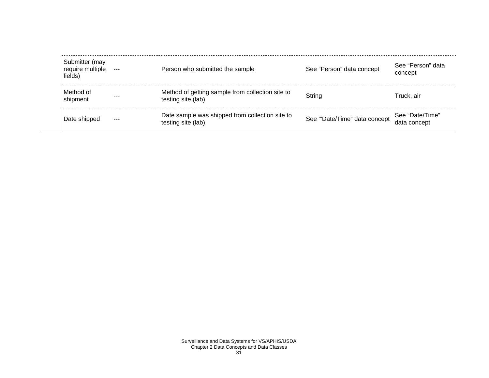| Submitter (may<br>require multiple<br>fields) |         | Person who submitted the sample                                        | See "Person" data concept    | See "Person" data<br>concept    |
|-----------------------------------------------|---------|------------------------------------------------------------------------|------------------------------|---------------------------------|
| Method of<br>shipment                         | $- - -$ | Method of getting sample from collection site to<br>testing site (lab) | String                       | Truck, air                      |
| Date shipped                                  | $- - -$ | Date sample was shipped from collection site to<br>testing site (lab)  | See "Date/Time" data concept | See "Date/Time"<br>data concept |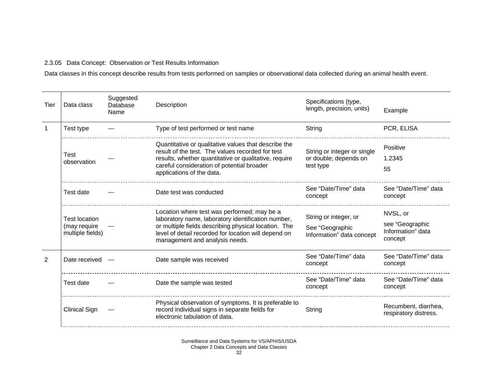### 2.3.05 Data Concept: Observation or Test Results Information

Data classes in this concept describe results from tests performed on samples or observational data collected during an animal health event.

| Tier | Data class                                               | Suggested<br>Database<br>Name | Description                                                                                                                                                                                                                                         | Specifications (type,<br>length, precision, units)                    | Example                                                     |
|------|----------------------------------------------------------|-------------------------------|-----------------------------------------------------------------------------------------------------------------------------------------------------------------------------------------------------------------------------------------------------|-----------------------------------------------------------------------|-------------------------------------------------------------|
|      | Test type                                                |                               | Type of test performed or test name                                                                                                                                                                                                                 | String                                                                | PCR, ELISA                                                  |
|      | <b>Test</b><br>observation                               |                               | Quantitative or qualitative values that describe the<br>result of the test. The values recorded for test<br>results, whether quantitative or qualitative, require<br>careful consideration of potential broader<br>applications of the data.        | String or integer or single<br>or double; depends on<br>test type     | Positive<br>1.2345<br>55                                    |
|      | Test date                                                |                               | Date test was conducted                                                                                                                                                                                                                             | See "Date/Time" data<br>concept                                       | See "Date/Time" data<br>concept                             |
|      | <b>Test location</b><br>(may require<br>multiple fields) |                               | Location where test was performed; may be a<br>laboratory name, laboratory identification number,<br>or multiple fields describing physical location. The<br>level of detail recorded for location will depend on<br>management and analysis needs. | String or integer, or<br>See "Geographic<br>Information" data concept | NVSL, or<br>see "Geographic<br>Information" data<br>concept |
| 2    | Date received ---                                        |                               | Date sample was received                                                                                                                                                                                                                            | See "Date/Time" data<br>concept                                       | See "Date/Time" data<br>concept                             |
|      | Test date                                                |                               | Date the sample was tested                                                                                                                                                                                                                          | See "Date/Time" data<br>concept                                       | See "Date/Time" data<br>concept                             |
|      | Clinical Sign                                            |                               | Physical observation of symptoms. It is preferable to<br>record individual signs in separate fields for<br>electronic tabulation of data.                                                                                                           | String                                                                | Recumbent, diarrhea,<br>respiratory distress.               |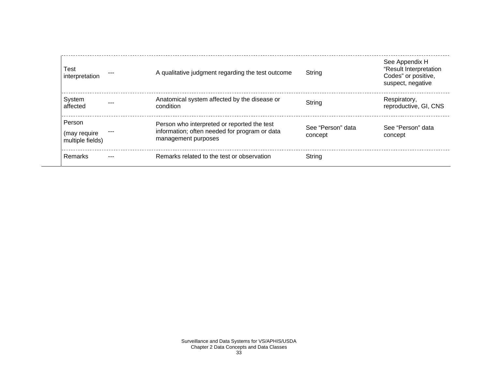| <b>Test</b><br>interpretation              | A qualitative judgment regarding the test outcome                                                                   | String                       | See Appendix H<br>"Result Interpretation<br>Codes" or positive,<br>suspect, negative |
|--------------------------------------------|---------------------------------------------------------------------------------------------------------------------|------------------------------|--------------------------------------------------------------------------------------|
| System<br>affected                         | Anatomical system affected by the disease or<br>condition                                                           | String                       | Respiratory,<br>reproductive, GI, CNS                                                |
| Person<br>(may require<br>multiple fields) | Person who interpreted or reported the test<br>information; often needed for program or data<br>management purposes | See "Person" data<br>concept | See "Person" data<br>concept                                                         |
| Remarks                                    | Remarks related to the test or observation                                                                          | String                       |                                                                                      |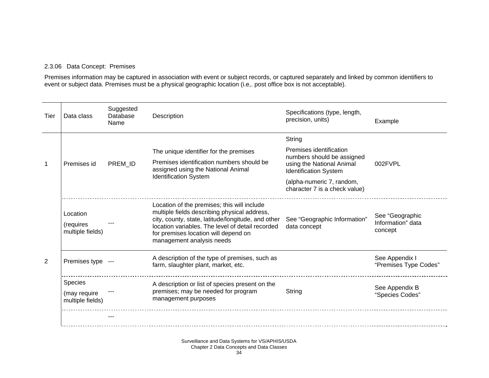#### 2.3.06 Data Concept: Premises

Premises information may be captured in association with event or subject records, or captured separately and linked by common identifiers to event or subject data. Premises must be a physical geographic location (i.e,. post office box is not acceptable).

| Tier | Data class                                | Suggested<br>Database<br>Name | Description                                                                                                                                                                                                                                                                | Specifications (type, length,<br>precision, units)         | Example                                         |
|------|-------------------------------------------|-------------------------------|----------------------------------------------------------------------------------------------------------------------------------------------------------------------------------------------------------------------------------------------------------------------------|------------------------------------------------------------|-------------------------------------------------|
|      | Premises id                               |                               |                                                                                                                                                                                                                                                                            | String                                                     |                                                 |
|      |                                           |                               | The unique identifier for the premises                                                                                                                                                                                                                                     | Premises identification<br>numbers should be assigned      |                                                 |
| 1    |                                           | PREM ID                       | Premises identification numbers should be<br>assigned using the National Animal<br><b>Identification System</b>                                                                                                                                                            | using the National Animal<br><b>Identification System</b>  | 002FVPL                                         |
|      |                                           |                               |                                                                                                                                                                                                                                                                            | (alpha-numeric 7, random,<br>character 7 is a check value) |                                                 |
|      | Location<br>(requires<br>multiple fields) |                               | Location of the premises; this will include<br>multiple fields describing physical address,<br>city, county, state, latitude/longitude, and other<br>location variables. The level of detail recorded<br>for premises location will depend on<br>management analysis needs | See "Geographic Information"<br>data concept               | See "Geographic<br>Information" data<br>concept |
| 2    | Premises type ---                         |                               | A description of the type of premises, such as<br>farm, slaughter plant, market, etc.                                                                                                                                                                                      |                                                            | See Appendix I<br>"Premises Type Codes"         |
|      | <b>Species</b>                            |                               | A description or list of species present on the                                                                                                                                                                                                                            |                                                            | See Appendix B                                  |
|      | (may require<br>multiple fields)          |                               | premises; may be needed for program<br>management purposes                                                                                                                                                                                                                 | String                                                     | "Species Codes"                                 |
|      |                                           |                               |                                                                                                                                                                                                                                                                            |                                                            |                                                 |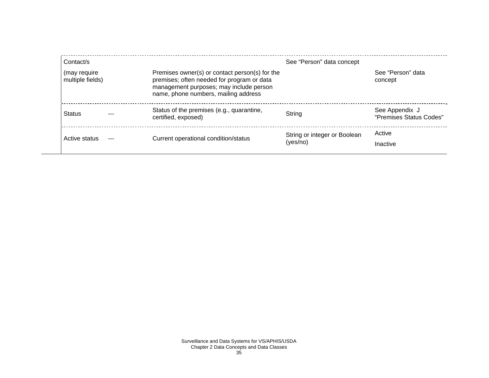| Contact/s                        |                                                                                                                                                                                 | See "Person" data concept                |                                           |
|----------------------------------|---------------------------------------------------------------------------------------------------------------------------------------------------------------------------------|------------------------------------------|-------------------------------------------|
| (may require<br>multiple fields) | Premises owner(s) or contact person(s) for the<br>premises; often needed for program or data<br>management purposes; may include person<br>name, phone numbers, mailing address |                                          | See "Person" data<br>concept              |
| Status                           | Status of the premises (e.g., quarantine,<br>certified, exposed)                                                                                                                | String                                   | See Appendix J<br>"Premises Status Codes" |
| Active status<br>---             | Current operational condition/status                                                                                                                                            | String or integer or Boolean<br>(yes/no) | Active<br>Inactive                        |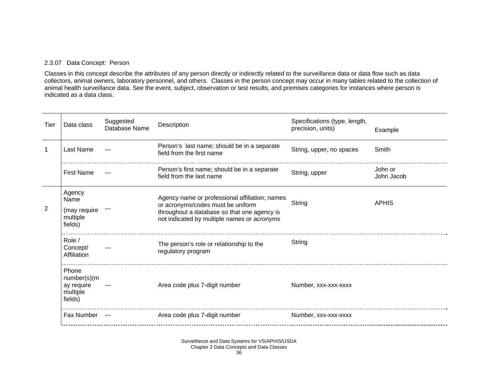### 2.3.07 Data Concept: Person

Classes in this concept describe the attributes of any person directly or indirectly related to the surveillance data or data flow such as data collectors, animal owners, laboratory personnel, and others. Classes in the person concept may occur in many tables related to the collection of animal health surveillance data. See the event, subject, observation or test results, and premises categories for instances where person is indicated as a data class.

| Tier | Data class                                                | Suggested<br>Database Name | Description                                                                                                                                                                       | Specifications (type, length,<br>precision, units) | Example               |
|------|-----------------------------------------------------------|----------------------------|-----------------------------------------------------------------------------------------------------------------------------------------------------------------------------------|----------------------------------------------------|-----------------------|
|      | Last Name                                                 |                            | Person's last name; should be in a separate<br>field from the first name                                                                                                          | String, upper, no spaces                           | Smith                 |
|      | <b>First Name</b>                                         |                            | Person's first name; should be in a separate<br>field from the last name                                                                                                          | String, upper                                      | John or<br>John Jacob |
| 2    | Agency<br>Name<br>(may require<br>multiple<br>fields)     |                            | Agency name or professional affiliation; names<br>or acronyms/codes must be uniform<br>throughout a database so that one agency is<br>not indicated by multiple names or acronyms | String                                             | <b>APHIS</b>          |
|      | Role /<br>Concept/<br>Affiliation                         |                            | The person's role or relationship to the<br>regulatory program                                                                                                                    | String                                             |                       |
|      | Phone<br>number(s)(m<br>ay require<br>multiple<br>fields) |                            | Area code plus 7-digit number                                                                                                                                                     | Number, xxx-xxx-xxxx                               |                       |
|      | Fax Number ---                                            |                            | Area code plus 7-digit number                                                                                                                                                     | Number, xxx-xxx-xxxx                               |                       |

Surveillance and Data Systems for VS/APHIS/USDA Chapter 2 Data Concepts and Data Classes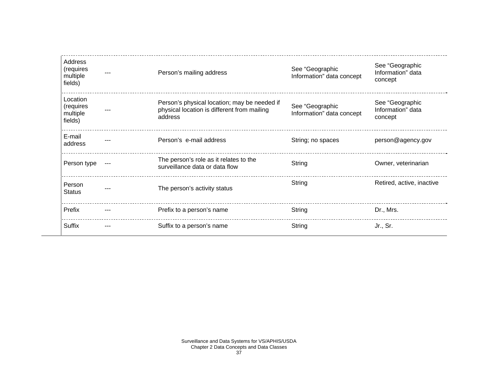| Address<br>(requires<br>multiple<br>fields)  |     | Person's mailing address                                                                               | See "Geographic<br>Information" data concept | See "Geographic<br>Information" data<br>concept |
|----------------------------------------------|-----|--------------------------------------------------------------------------------------------------------|----------------------------------------------|-------------------------------------------------|
| Location<br>(requires<br>multiple<br>fields) |     | Person's physical location; may be needed if<br>physical location is different from mailing<br>address | See "Geographic<br>Information" data concept | See "Geographic<br>Information" data<br>concept |
| E-mail<br>address                            |     | Person's e-mail address                                                                                | String; no spaces                            | person@agency.gov                               |
| Person type                                  |     | The person's role as it relates to the<br>surveillance data or data flow                               | String                                       | Owner, veterinarian                             |
| Person<br><b>Status</b>                      |     | The person's activity status                                                                           | String                                       | Retired, active, inactive                       |
| Prefix                                       |     | Prefix to a person's name                                                                              | String                                       | Dr., Mrs.                                       |
| <b>Suffix</b>                                | --- | Suffix to a person's name                                                                              | String                                       | Jr., Sr.                                        |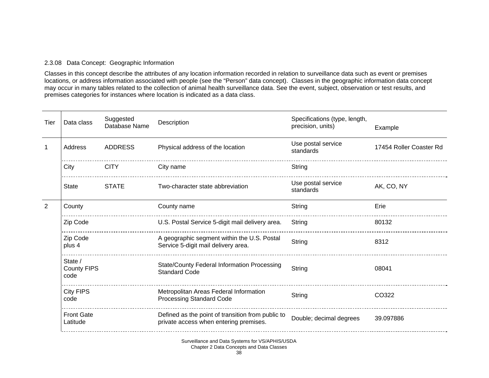#### 2.3.08 Data Concept: Geographic Information

Classes in this concept describe the attributes of any location information recorded in relation to surveillance data such as event or premises locations, or address information associated with people (see the "Person" data concept). Classes in the geographic information data concept may occur in many tables related to the collection of animal health surveillance data. See the event, subject, observation or test results, and premises categories for instances where location is indicated as a data class.

| Tier | Data class                            | Suggested<br>Database Name | Description                                                                                 | Specifications (type, length,<br>precision, units) | Example                 |
|------|---------------------------------------|----------------------------|---------------------------------------------------------------------------------------------|----------------------------------------------------|-------------------------|
|      | Address                               | <b>ADDRESS</b>             | Physical address of the location                                                            | Use postal service<br>standards                    | 17454 Roller Coaster Rd |
|      | City                                  | <b>CITY</b>                | City name                                                                                   | String                                             |                         |
|      | <b>State</b>                          | <b>STATE</b>               | Two-character state abbreviation                                                            | Use postal service<br>standards                    | AK, CO, NY              |
|      | County                                |                            | County name                                                                                 | String                                             | Erie                    |
|      | Zip Code                              |                            | U.S. Postal Service 5-digit mail delivery area.                                             | String                                             | 80132                   |
|      | Zip Code<br>plus 4                    |                            | A geographic segment within the U.S. Postal<br>Service 5-digit mail delivery area.          | String                                             | 8312                    |
|      | State /<br><b>County FIPS</b><br>code |                            | State/County Federal Information Processing<br><b>Standard Code</b>                         | String                                             | 08041                   |
|      | <b>City FIPS</b><br>code              |                            | Metropolitan Areas Federal Information<br><b>Processing Standard Code</b>                   | String                                             | CO322                   |
|      | <b>Front Gate</b><br>Latitude         |                            | Defined as the point of transition from public to<br>private access when entering premises. | Double; decimal degrees                            | 39.097886               |
|      |                                       |                            |                                                                                             |                                                    |                         |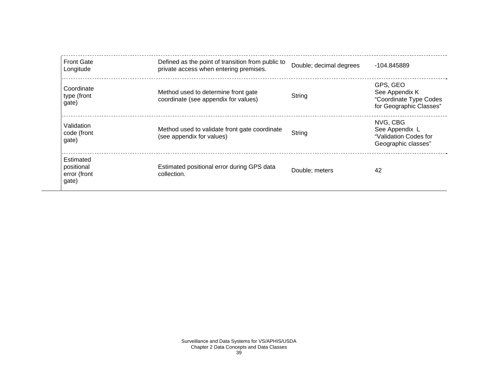| <b>Front Gate</b><br>Longitude                   | Defined as the point of transition from public to<br>private access when entering premises. | Double; decimal degrees | -104.845889                                                                     |
|--------------------------------------------------|---------------------------------------------------------------------------------------------|-------------------------|---------------------------------------------------------------------------------|
| Coordinate<br>type (front<br>gate)               | Method used to determine front gate<br>coordinate (see appendix for values)                 | String                  | GPS, GEO<br>See Appendix K<br>"Coordinate Type Codes<br>for Geographic Classes" |
| Validation<br>code (front<br>gate)               | Method used to validate front gate coordinate<br>(see appendix for values)                  | String                  | NVG, CBG<br>See Appendix L<br>"Validation Codes for<br>Geographic classes"      |
| Estimated<br>positional<br>error (front<br>gate) | Estimated positional error during GPS data<br>collection.                                   | Double; meters          | 42                                                                              |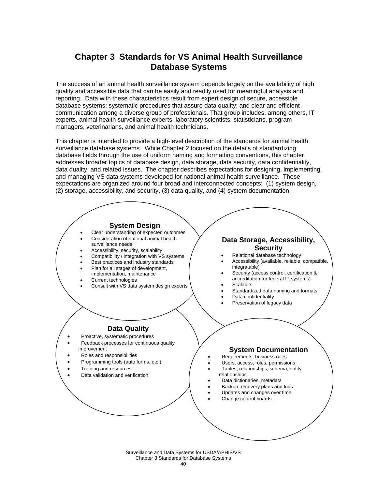## **Chapter 3 Standards for VS Animal Health Surveillance Database Systems**

The success of an animal health surveillance system depends largely on the availability of high quality and accessible data that can be easily and readily used for meaningful analysis and reporting. Data with these characteristics result from expert design of secure, accessible database systems; systematic procedures that assure data quality; and clear and efficient communication among a diverse group of professionals. That group includes, among others, IT experts, animal health surveillance experts, laboratory scientists, statisticians, program managers, veterinarians, and animal health technicians.

This chapter is intended to provide a high-level description of the standards for animal health surveillance database systems. While Chapter 2 focused on the details of standardizing database fields through the use of uniform naming and formatting conventions, this chapter addresses broader topics of database design, data storage, data security, data confidentiality, data quality, and related issues. The chapter describes expectations for designing, implementing, and managing VS data systems developed for national animal health surveillance. These expectations are organized around four broad and interconnected concepts: (1) system design, (2) storage, accessibility, and security, (3) data quality, and (4) system documentation.



Surveillance and Data Systems for USDA/APHIS/VS Chapter 3 Standards for Database Systems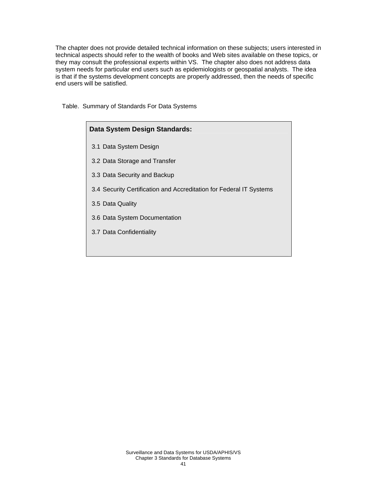The chapter does not provide detailed technical information on these subjects; users interested in technical aspects should refer to the wealth of books and Web sites available on these topics, or they may consult the professional experts within VS. The chapter also does not address data system needs for particular end users such as epidemiologists or geospatial analysts. The idea is that if the systems development concepts are properly addressed, then the needs of specific end users will be satisfied.

Table. Summary of Standards For Data Systems

| Data System Design Standards:                                       |  |  |  |  |  |
|---------------------------------------------------------------------|--|--|--|--|--|
| 3.1 Data System Design                                              |  |  |  |  |  |
| 3.2 Data Storage and Transfer                                       |  |  |  |  |  |
| 3.3 Data Security and Backup                                        |  |  |  |  |  |
| 3.4 Security Certification and Accreditation for Federal IT Systems |  |  |  |  |  |
| 3.5 Data Quality                                                    |  |  |  |  |  |
| 3.6 Data System Documentation                                       |  |  |  |  |  |
| 3.7 Data Confidentiality                                            |  |  |  |  |  |
|                                                                     |  |  |  |  |  |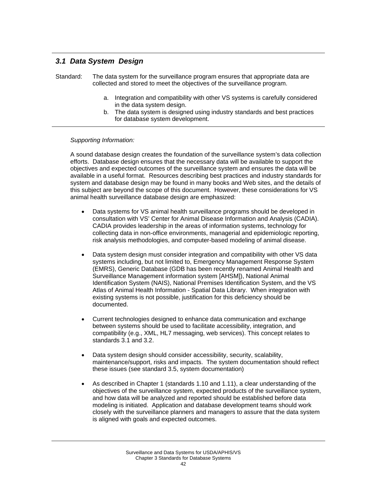## *3.1 Data System Design*

Standard: The data system for the surveillance program ensures that appropriate data are collected and stored to meet the objectives of the surveillance program.

- a. Integration and compatibility with other VS systems is carefully considered in the data system design.
- b. The data system is designed using industry standards and best practices for database system development.

#### *Supporting Information:*

A sound database design creates the foundation of the surveillance system's data collection efforts. Database design ensures that the necessary data will be available to support the objectives and expected outcomes of the surveillance system and ensures the data will be available in a useful format. Resources describing best practices and industry standards for system and database design may be found in many books and Web sites, and the details of this subject are beyond the scope of this document. However, these considerations for VS animal health surveillance database design are emphasized:

- Data systems for VS animal health surveillance programs should be developed in consultation with VS' Center for Animal Disease Information and Analysis (CADIA). CADIA provides leadership in the areas of information systems, technology for collecting data in non-office environments, managerial and epidemiologic reporting, risk analysis methodologies, and computer-based modeling of animal disease.
- Data system design must consider integration and compatibility with other VS data systems including, but not limited to, Emergency Management Response System (EMRS), Generic Database (GDB has been recently renamed Animal Health and Surveillance Management information system [AHSM]), National Animal Identification System (NAIS), National Premises Identification System, and the VS Atlas of Animal Health Information - Spatial Data Library. When integration with existing systems is not possible, justification for this deficiency should be documented.
- Current technologies designed to enhance data communication and exchange between systems should be used to facilitate accessibility, integration, and compatibility (e.g., XML, HL7 messaging, web services). This concept relates to standards 3.1 and 3.2.
- Data system design should consider accessibility, security, scalability, maintenance/support, risks and impacts. The system documentation should reflect these issues (see standard 3.5, system documentation)
- As described in Chapter 1 (standards 1.10 and 1.11), a clear understanding of the objectives of the surveillance system, expected products of the surveillance system, and how data will be analyzed and reported should be established before data modeling is initiated. Application and database development teams should work closely with the surveillance planners and managers to assure that the data system is aligned with goals and expected outcomes.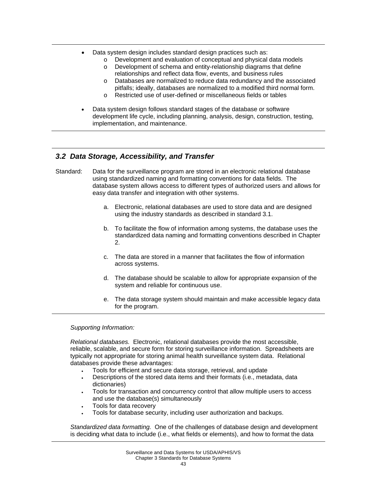- Data system design includes standard design practices such as:
	- o Development and evaluation of conceptual and physical data models
	- o Development of schema and entity-relationship diagrams that define relationships and reflect data flow, events, and business rules
	- o Databases are normalized to reduce data redundancy and the associated pitfalls; ideally, databases are normalized to a modified third normal form.
	- o Restricted use of user-defined or miscellaneous fields or tables
- Data system design follows standard stages of the database or software development life cycle, including planning, analysis, design, construction, testing, implementation, and maintenance.

## *3.2 Data Storage, Accessibility, and Transfer*

- Standard: Data for the surveillance program are stored in an electronic relational database using standardized naming and formatting conventions for data fields. The database system allows access to different types of authorized users and allows for easy data transfer and integration with other systems.
	- a. Electronic, relational databases are used to store data and are designed using the industry standards as described in standard 3.1.
	- b. To facilitate the flow of information among systems, the database uses the standardized data naming and formatting conventions described in Chapter 2.
	- c. The data are stored in a manner that facilitates the flow of information across systems.
	- d. The database should be scalable to allow for appropriate expansion of the system and reliable for continuous use.
	- e. The data storage system should maintain and make accessible legacy data for the program.

*Supporting Information:* 

*Relational databases.* Electronic, relational databases provide the most accessible, reliable, scalable, and secure form for storing surveillance information. Spreadsheets are typically not appropriate for storing animal health surveillance system data. Relational databases provide these advantages:

- Tools for efficient and secure data storage, retrieval, and update
- Descriptions of the stored data items and their formats (i.e., metadata, data dictionaries)
- Tools for transaction and concurrency control that allow multiple users to access and use the database(s) simultaneously
- Tools for data recovery
- Tools for database security, including user authorization and backups.

*Standardized data formatting.* One of the challenges of database design and development is deciding what data to include (i.e., what fields or elements), and how to format the data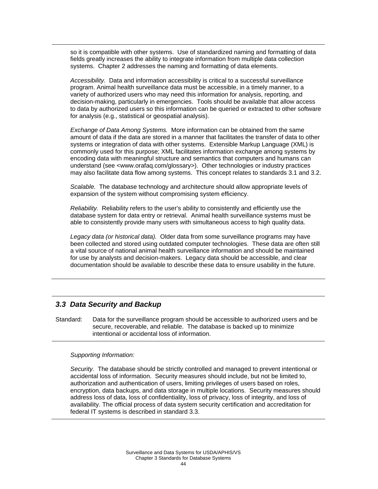so it is compatible with other systems. Use of standardized naming and formatting of data fields greatly increases the ability to integrate information from multiple data collection systems. Chapter 2 addresses the naming and formatting of data elements.

*Accessibility.* Data and information accessibility is critical to a successful surveillance program. Animal health surveillance data must be accessible, in a timely manner, to a variety of authorized users who may need this information for analysis, reporting, and decision-making, particularly in emergencies. Tools should be available that allow access to data by authorized users so this information can be queried or extracted to other software for analysis (e.g., statistical or geospatial analysis).

*Exchange of Data Among Systems.* More information can be obtained from the same amount of data if the data are stored in a manner that facilitates the transfer of data to other systems or integration of data with other systems. Extensible Markup Language (XML) is commonly used for this purpose; XML facilitates information exchange among systems by encoding data with meaningful structure and semantics that computers and humans can understand (see <www.orafaq.com/glossary>). Other technologies or industry practices may also facilitate data flow among systems. This concept relates to standards 3.1 and 3.2.

*Scalable.* The database technology and architecture should allow appropriate levels of expansion of the system without compromising system efficiency.

*Reliability.* Reliability refers to the user's ability to consistently and efficiently use the database system for data entry or retrieval. Animal health surveillance systems must be able to consistently provide many users with simultaneous access to high quality data.

*Legacy data (or historical data).* Older data from some surveillance programs may have been collected and stored using outdated computer technologies. These data are often still a vital source of national animal health surveillance information and should be maintained for use by analysts and decision-makers. Legacy data should be accessible, and clear documentation should be available to describe these data to ensure usability in the future.

### *3.3 Data Security and Backup*

Standard: Data for the surveillance program should be accessible to authorized users and be secure, recoverable, and reliable. The database is backed up to minimize intentional or accidental loss of information.

#### *Supporting Information:*

*Security.* The database should be strictly controlled and managed to prevent intentional or accidental loss of information. Security measures should include, but not be limited to, authorization and authentication of users, limiting privileges of users based on roles, encryption, data backups, and data storage in multiple locations. Security measures should address loss of data, loss of confidentiality, loss of privacy, loss of integrity, and loss of availability. The official process of data system security certification and accreditation for federal IT systems is described in standard 3.3.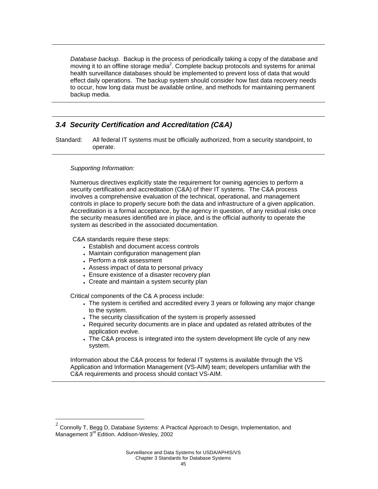*Database backup.* Backup is the process of periodically taking a copy of the database and moving it to an offline storage media<sup>2</sup>. Complete backup protocols and systems for animal health surveillance databases should be implemented to prevent loss of data that would effect daily operations. The backup system should consider how fast data recovery needs to occur, how long data must be available online, and methods for maintaining permanent backup media.

## *3.4 Security Certification and Accreditation (C&A)*

Standard: All federal IT systems must be officially authorized, from a security standpoint, to operate.

#### *Supporting Information:*

 $\overline{a}$ 

Numerous directives explicitly state the requirement for owning agencies to perform a security certification and accreditation (C&A) of their IT systems. The C&A process involves a comprehensive evaluation of the technical, operational, and management controls in place to properly secure both the data and infrastructure of a given application. Accreditation is a formal acceptance, by the agency in question, of any residual risks once the security measures identified are in place, and is the official authority to operate the system as described in the associated documentation.

#### C&A standards require these steps:

- Establish and document access controls
- Maintain configuration management plan
- Perform a risk assessment
- Assess impact of data to personal privacy
- Ensure existence of a disaster recovery plan
- Create and maintain a system security plan

Critical components of the C& A process include:

- The system is certified and accredited every 3 years or following any major change to the system.
- The security classification of the system is properly assessed
- Required security documents are in place and updated as related attributes of the application evolve.
- The C&A process is integrated into the system development life cycle of any new system.

Information about the C&A process for federal IT systems is available through the VS Application and Information Management (VS-AIM) team; developers unfamiliar with the C&A requirements and process should contact VS-AIM.

 $2$  Connolly T, Begg D, Database Systems: A Practical Approach to Design, Implementation, and Management 3<sup>rd</sup> Edition. Addison-Wesley, 2002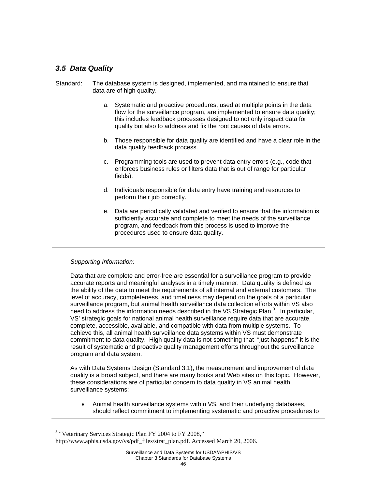## *3.5 Data Quality*

- Standard: The database system is designed, implemented, and maintained to ensure that data are of high quality.
	- a. Systematic and proactive procedures, used at multiple points in the data flow for the surveillance program, are implemented to ensure data quality; this includes feedback processes designed to not only inspect data for quality but also to address and fix the root causes of data errors.
	- b. Those responsible for data quality are identified and have a clear role in the data quality feedback process.
	- c. Programming tools are used to prevent data entry errors (e.g., code that enforces business rules or filters data that is out of range for particular fields).
	- d. Individuals responsible for data entry have training and resources to perform their job correctly.
	- e. Data are periodically validated and verified to ensure that the information is sufficiently accurate and complete to meet the needs of the surveillance program, and feedback from this process is used to improve the procedures used to ensure data quality.

#### *Supporting Information:*

Data that are complete and error-free are essential for a surveillance program to provide accurate reports and meaningful analyses in a timely manner. Data quality is defined as the ability of the data to meet the requirements of all internal and external customers. The level of accuracy, completeness, and timeliness may depend on the goals of a particular surveillance program, but animal health surveillance data collection efforts within VS also need to address the information needs described in the VS Strategic Plan  $3$ . In particular, VS' strategic goals for national animal health surveillance require data that are accurate, complete, accessible, available, and compatible with data from multiple systems. To achieve this, all animal health surveillance data systems within VS must demonstrate commitment to data quality. High quality data is not something that "just happens;" it is the result of systematic and proactive quality management efforts throughout the surveillance program and data system.

As with Data Systems Design (Standard 3.1), the measurement and improvement of data quality is a broad subject, and there are many books and Web sites on this topic. However, these considerations are of particular concern to data quality in VS animal health surveillance systems:

• Animal health surveillance systems within VS, and their underlying databases, should reflect commitment to implementing systematic and proactive procedures to

 $\overline{a}$ 

<sup>&</sup>lt;sup>3</sup> "Veterinary Services Strategic Plan FY 2004 to FY 2008,"

http://www.aphis.usda.gov/vs/pdf\_files/strat\_plan.pdf. Accessed March 20, 2006.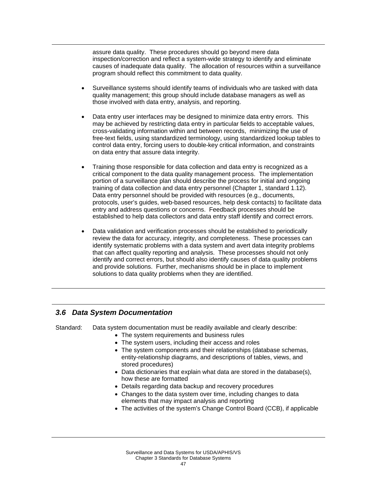assure data quality. These procedures should go beyond mere data inspection/correction and reflect a system-wide strategy to identify and eliminate causes of inadequate data quality. The allocation of resources within a surveillance program should reflect this commitment to data quality.

- Surveillance systems should identify teams of individuals who are tasked with data quality management; this group should include database managers as well as those involved with data entry, analysis, and reporting.
- Data entry user interfaces may be designed to minimize data entry errors. This may be achieved by restricting data entry in particular fields to acceptable values, cross-validating information within and between records, minimizing the use of free-text fields, using standardized terminology, using standardized lookup tables to control data entry, forcing users to double-key critical information, and constraints on data entry that assure data integrity.
- Training those responsible for data collection and data entry is recognized as a critical component to the data quality management process. The implementation portion of a surveillance plan should describe the process for initial and ongoing training of data collection and data entry personnel (Chapter 1, standard 1.12). Data entry personnel should be provided with resources (e.g., documents, protocols, user's guides, web-based resources, help desk contacts) to facilitate data entry and address questions or concerns. Feedback processes should be established to help data collectors and data entry staff identify and correct errors.
- Data validation and verification processes should be established to periodically review the data for accuracy, integrity, and completeness. These processes can identify systematic problems with a data system and avert data integrity problems that can affect quality reporting and analysis. These processes should not only identify and correct errors, but should also identify causes of data quality problems and provide solutions. Further, mechanisms should be in place to implement solutions to data quality problems when they are identified.

## *3.6 Data System Documentation*

Standard: Data system documentation must be readily available and clearly describe:

- The system requirements and business rules
- The system users, including their access and roles
- The system components and their relationships (database schemas, entity-relationship diagrams, and descriptions of tables, views, and stored procedures)
- Data dictionaries that explain what data are stored in the database(s), how these are formatted
- Details regarding data backup and recovery procedures
- Changes to the data system over time, including changes to data elements that may impact analysis and reporting
- The activities of the system's Change Control Board (CCB), if applicable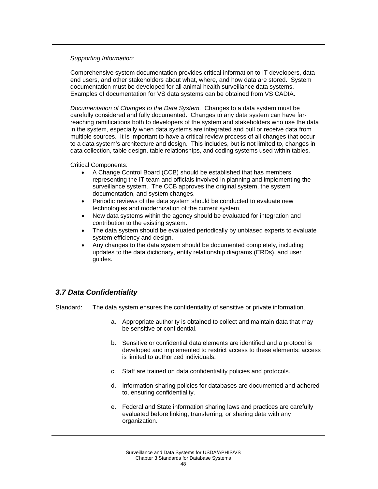Comprehensive system documentation provides critical information to IT developers, data end users, and other stakeholders about what, where, and how data are stored. System documentation must be developed for all animal health surveillance data systems. Examples of documentation for VS data systems can be obtained from VS CADIA.

*Documentation of Changes to the Data System.* Changes to a data system must be carefully considered and fully documented. Changes to any data system can have farreaching ramifications both to developers of the system and stakeholders who use the data in the system, especially when data systems are integrated and pull or receive data from multiple sources. It is important to have a critical review process of all changes that occur to a data system's architecture and design. This includes, but is not limited to, changes in data collection, table design, table relationships, and coding systems used within tables.

Critical Components:

- A Change Control Board (CCB) should be established that has members representing the IT team and officials involved in planning and implementing the surveillance system. The CCB approves the original system, the system documentation, and system changes.
- Periodic reviews of the data system should be conducted to evaluate new technologies and modernization of the current system.
- New data systems within the agency should be evaluated for integration and contribution to the existing system.
- The data system should be evaluated periodically by unbiased experts to evaluate system efficiency and design.
- Any changes to the data system should be documented completely, including updates to the data dictionary, entity relationship diagrams (ERDs), and user guides.

## *3.7 Data Confidentiality*

Standard: The data system ensures the confidentiality of sensitive or private information.

- a. Appropriate authority is obtained to collect and maintain data that may be sensitive or confidential.
- b. Sensitive or confidential data elements are identified and a protocol is developed and implemented to restrict access to these elements; access is limited to authorized individuals.
- c. Staff are trained on data confidentiality policies and protocols.
- d. Information-sharing policies for databases are documented and adhered to, ensuring confidentiality.
- e. Federal and State information sharing laws and practices are carefully evaluated before linking, transferring, or sharing data with any organization.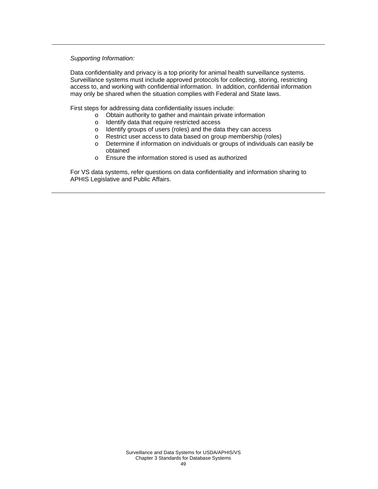Data confidentiality and privacy is a top priority for animal health surveillance systems. Surveillance systems must include approved protocols for collecting, storing, restricting access to, and working with confidential information. In addition, confidential information may only be shared when the situation complies with Federal and State laws.

First steps for addressing data confidentiality issues include:

- o Obtain authority to gather and maintain private information
- o Identify data that require restricted access
- o Identify groups of users (roles) and the data they can access
- o Restrict user access to data based on group membership (roles)
- o Determine if information on individuals or groups of individuals can easily be obtained
- o Ensure the information stored is used as authorized

For VS data systems, refer questions on data confidentiality and information sharing to APHIS Legislative and Public Affairs.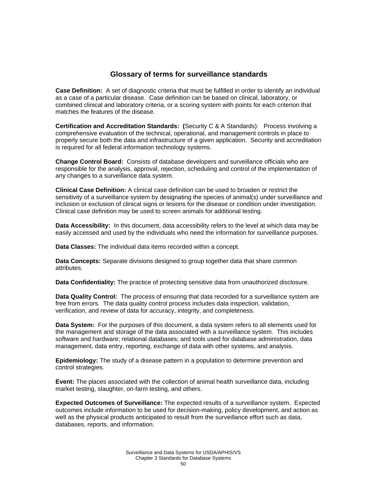## **Glossary of terms for surveillance standards**

**Case Definition:** A set of diagnostic criteria that must be fulfilled in order to identify an individual as a case of a particular disease. Case definition can be based on clinical, laboratory, or combined clinical and laboratory criteria, or a scoring system with points for each criterion that matches the features of the disease.

**Certification and Accreditation Standards: (**Security C & A Standards): Process involving a comprehensive evaluation of the technical, operational, and management controls in place to properly secure both the data and infrastructure of a given application. Security and accreditation is required for all federal information technology systems.

**Change Control Board:** Consists of database developers and surveillance officials who are responsible for the analysis, approval, rejection, scheduling and control of the implementation of any changes to a surveillance data system.

**Clinical Case Definition:** A clinical case definition can be used to broaden or restrict the sensitivity of a surveillance system by designating the species of animal(s) under surveillance and inclusion or exclusion of clinical signs or lesions for the disease or condition under investigation. Clinical case definition may be used to screen animals for additional testing.

**Data Accessibility:** In this document, data accessibility refers to the level at which data may be easily accessed and used by the individuals who need the information for surveillance purposes.

**Data Classes:** The individual data items recorded within a concept.

**Data Concepts:** Separate divisions designed to group together data that share common attributes.

**Data Confidentiality:** The practice of protecting sensitive data from unauthorized disclosure.

**Data Quality Control:** The process of ensuring that data recorded for a surveillance system are free from errors. The data quality control process includes data inspection, validation, verification, and review of data for accuracy, integrity, and completeness.

**Data System:** For the purposes of this document, a data system refers to all elements used for the management and storage of the data associated with a surveillance system. This includes software and hardware; relational databases; and tools used for database administration, data management, data entry, reporting, exchange of data with other systems, and analysis.

**Epidemiology:** The study of a disease pattern in a population to determine prevention and control strategies.

**Event:** The places associated with the collection of animal health surveillance data, including market testing, slaughter, on-farm testing, and others.

**Expected Outcomes of Surveillance:** The expected results of a surveillance system. Expected outcomes include information to be used for decision-making, policy development, and action as well as the physical products anticipated to result from the surveillance effort such as data, databases, reports, and information.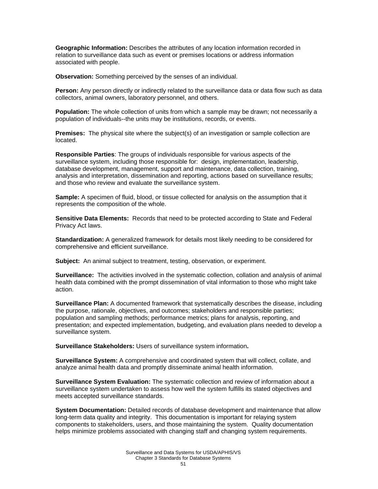**Geographic Information:** Describes the attributes of any location information recorded in relation to surveillance data such as event or premises locations or address information associated with people.

**Observation:** Something perceived by the senses of an individual.

**Person:** Any person directly or indirectly related to the surveillance data or data flow such as data collectors, animal owners, laboratory personnel, and others.

**Population:** The whole collection of units from which a sample may be drawn; not necessarily a population of individuals--the units may be institutions, records, or events.

**Premises:** The physical site where the subject(s) of an investigation or sample collection are located.

**Responsible Parties**: The groups of individuals responsible for various aspects of the surveillance system, including those responsible for: design, implementation, leadership, database development, management, support and maintenance, data collection, training, analysis and interpretation, dissemination and reporting, actions based on surveillance results; and those who review and evaluate the surveillance system.

**Sample:** A specimen of fluid, blood, or tissue collected for analysis on the assumption that it represents the composition of the whole.

**Sensitive Data Elements:** Records that need to be protected according to State and Federal Privacy Act laws.

**Standardization:** A generalized framework for details most likely needing to be considered for comprehensive and efficient surveillance.

**Subject:** An animal subject to treatment, testing, observation, or experiment.

**Surveillance:** The activities involved in the systematic collection, collation and analysis of animal health data combined with the prompt dissemination of vital information to those who might take action.

**Surveillance Plan:** A documented framework that systematically describes the disease, including the purpose, rationale, objectives, and outcomes; stakeholders and responsible parties; population and sampling methods; performance metrics; plans for analysis, reporting, and presentation; and expected implementation, budgeting, and evaluation plans needed to develop a surveillance system.

**Surveillance Stakeholders:** Users of surveillance system information**.**

**Surveillance System:** A comprehensive and coordinated system that will collect, collate, and analyze animal health data and promptly disseminate animal health information.

**Surveillance System Evaluation:** The systematic collection and review of information about a surveillance system undertaken to assess how well the system fulfills its stated objectives and meets accepted surveillance standards.

**System Documentation:** Detailed records of database development and maintenance that allow long-term data quality and integrity. This documentation is important for relaying system components to stakeholders, users, and those maintaining the system. Quality documentation helps minimize problems associated with changing staff and changing system requirements.